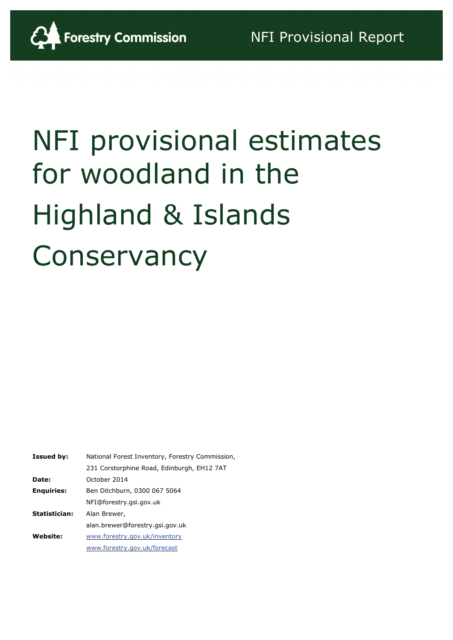

# NFI provisional estimates for woodland in the Highland & Islands **Conservancy**

| <b>Issued by:</b> | National Forest Inventory, Forestry Commission, |
|-------------------|-------------------------------------------------|
|                   | 231 Corstorphine Road, Edinburgh, EH12 7AT      |
| Date:             | October 2014                                    |
| <b>Enquiries:</b> | Ben Ditchburn, 0300 067 5064                    |
|                   | NFI@forestry.gsi.gov.uk                         |
| Statistician:     | Alan Brewer,                                    |
|                   | alan.brewer@forestry.gsi.gov.uk                 |
| <b>Website:</b>   | www.forestry.gov.uk/inventory                   |
|                   | www.forestry.gov.uk/forecast                    |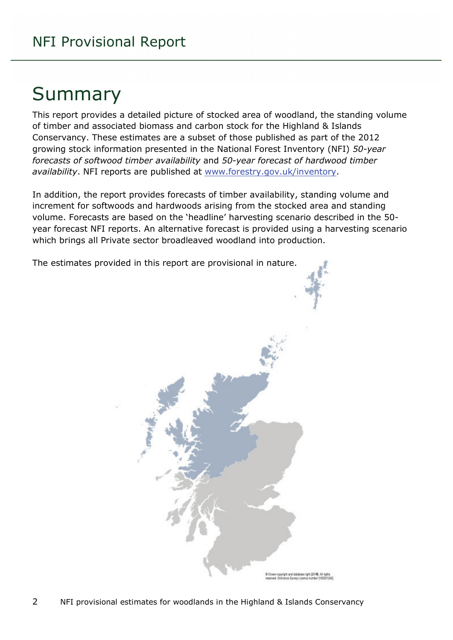# Summary

This report provides a detailed picture of stocked area of woodland, the standing volume of timber and associated biomass and carbon stock for the Highland & Islands Conservancy. These estimates are a subset of those published as part of the 2012 growing stock information presented in the National Forest Inventory (NFI) *50-year forecasts of softwood timber availability* and *50-year forecast of hardwood timber availability*. NFI reports are published at [www.forestry.gov.uk/inventory.](http://www.forestry.gov.uk/inventory)

In addition, the report provides forecasts of timber availability, standing volume and increment for softwoods and hardwoods arising from the stocked area and standing volume. Forecasts are based on the 'headline' harvesting scenario described in the 50 year forecast NFI reports. An alternative forecast is provided using a harvesting scenario which brings all Private sector broadleaved woodland into production.

The estimates provided in this report are provisional in nature.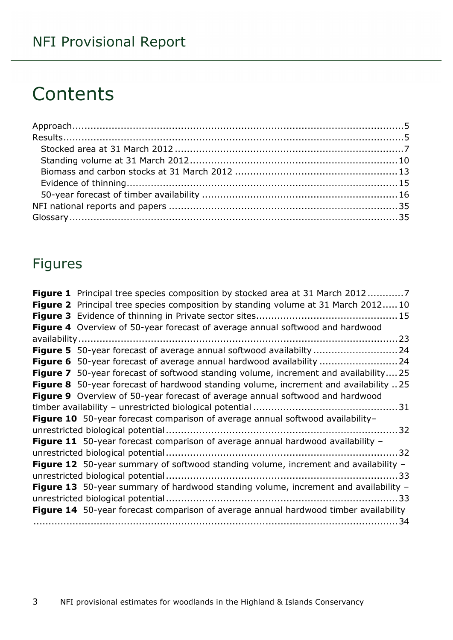# **Contents**

### Figures

| <b>Figure 1</b> Principal tree species composition by stocked area at 31 March 20127        |
|---------------------------------------------------------------------------------------------|
| <b>Figure 2</b> Principal tree species composition by standing volume at 31 March 201210    |
|                                                                                             |
| Figure 4 Overview of 50-year forecast of average annual softwood and hardwood               |
|                                                                                             |
| Figure 5 50-year forecast of average annual softwood availabilty  24                        |
| <b>Figure 6</b> 50-year forecast of average annual hardwood availability 24                 |
| <b>Figure 7</b> 50-year forecast of softwood standing volume, increment and availability25  |
| Figure 8 50-year forecast of hardwood standing volume, increment and availability 25        |
| Figure 9 Overview of 50-year forecast of average annual softwood and hardwood               |
|                                                                                             |
| Figure 10 50-year forecast comparison of average annual softwood availability-              |
|                                                                                             |
| Figure 11 50-year forecast comparison of average annual hardwood availability -             |
|                                                                                             |
| <b>Figure 12</b> 50-year summary of softwood standing volume, increment and availability -  |
|                                                                                             |
| Figure 13 50-year summary of hardwood standing volume, increment and availability -         |
|                                                                                             |
| <b>Figure 14</b> 50-year forecast comparison of average annual hardwood timber availability |
|                                                                                             |
|                                                                                             |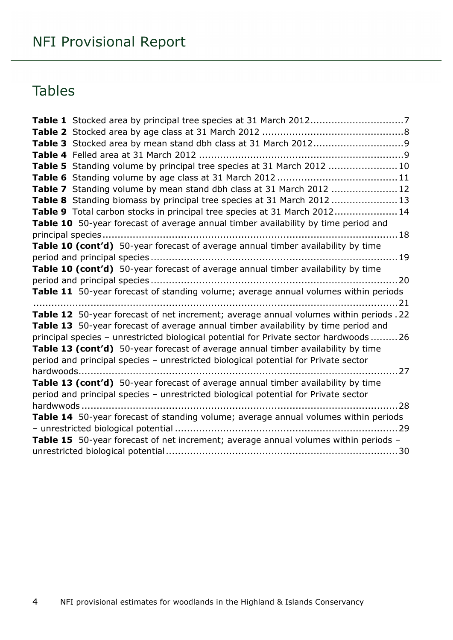### Tables

| Table 5 Standing volume by principal tree species at 31 March 2012 10                  |
|----------------------------------------------------------------------------------------|
|                                                                                        |
| Table 7 Standing volume by mean stand dbh class at 31 March 2012  12                   |
| Table 8 Standing biomass by principal tree species at 31 March 2012  13                |
| Table 9 Total carbon stocks in principal tree species at 31 March 201214               |
| Table 10 50-year forecast of average annual timber availability by time period and     |
|                                                                                        |
| Table 10 (cont'd) 50-year forecast of average annual timber availability by time       |
|                                                                                        |
| Table 10 (cont'd) 50-year forecast of average annual timber availability by time       |
|                                                                                        |
| Table 11 50-year forecast of standing volume; average annual volumes within periods    |
|                                                                                        |
| Table 12 50-year forecast of net increment; average annual volumes within periods .22  |
| Table 13 50-year forecast of average annual timber availability by time period and     |
| principal species - unrestricted biological potential for Private sector hardwoods  26 |
| Table 13 (cont'd) 50-year forecast of average annual timber availability by time       |
| period and principal species - unrestricted biological potential for Private sector    |
|                                                                                        |
| Table 13 (cont'd) 50-year forecast of average annual timber availability by time       |
| period and principal species - unrestricted biological potential for Private sector    |
|                                                                                        |
| Table 14 50-year forecast of standing volume; average annual volumes within periods    |
|                                                                                        |
| Table 15 50-year forecast of net increment; average annual volumes within periods -    |
|                                                                                        |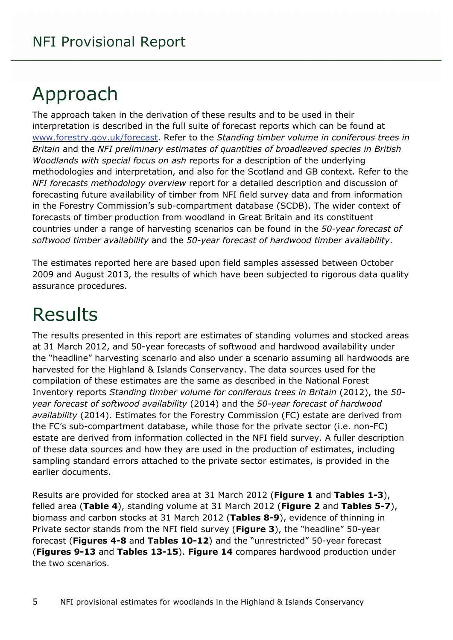# <span id="page-4-0"></span>Approach

The approach taken in the derivation of these results and to be used in their interpretation is described in the full suite of forecast reports which can be found at [www.forestry.gov.uk/forecast.](http://www.forestry.gov.uk/forecast) Refer to the *Standing timber volume in coniferous trees in Britain* and the *NFI preliminary estimates of quantities of broadleaved species in British Woodlands with special focus on ash* reports for a description of the underlying methodologies and interpretation, and also for the Scotland and GB context. Refer to the *NFI forecasts methodology overview* report for a detailed description and discussion of forecasting future availability of timber from NFI field survey data and from information in the Forestry Commission's sub-compartment database (SCDB). The wider context of forecasts of timber production from woodland in Great Britain and its constituent countries under a range of harvesting scenarios can be found in the *50-year forecast of softwood timber availability* and the *50-year forecast of hardwood timber availability*.

The estimates reported here are based upon field samples assessed between October 2009 and August 2013, the results of which have been subjected to rigorous data quality assurance procedures.

# <span id="page-4-1"></span>Results

The results presented in this report are estimates of standing volumes and stocked areas at 31 March 2012, and 50-year forecasts of softwood and hardwood availability under the "headline" harvesting scenario and also under a scenario assuming all hardwoods are harvested for the Highland & Islands Conservancy. The data sources used for the compilation of these estimates are the same as described in the National Forest Inventory reports *Standing timber volume for coniferous trees in Britain* (2012), the *50 year forecast of softwood availability* (2014) and the *50-year forecast of hardwood availability* (2014). Estimates for the Forestry Commission (FC) estate are derived from the FC's sub-compartment database, while those for the private sector (i.e. non-FC) estate are derived from information collected in the NFI field survey. A fuller description of these data sources and how they are used in the production of estimates, including sampling standard errors attached to the private sector estimates, is provided in the earlier documents.

Results are provided for stocked area at 31 March 2012 (**Figure 1** and **Tables 1-3**), felled area (**Table 4**), standing volume at 31 March 2012 (**Figure 2** and **Tables 5-7**), biomass and carbon stocks at 31 March 2012 (**Tables 8-9**), evidence of thinning in Private sector stands from the NFI field survey (**Figure 3**), the "headline" 50-year forecast (**Figures 4-8** and **Tables 10-12**) and the "unrestricted" 50-year forecast (**Figures 9-13** and **Tables 13-15**). **Figure 14** compares hardwood production under the two scenarios.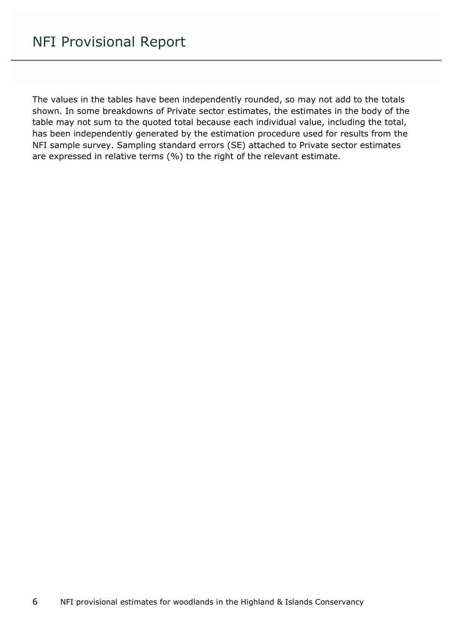The values in the tables have been independently rounded, so may not add to the totals shown. In some breakdowns of Private sector estimates, the estimates in the body of the table may not sum to the quoted total because each individual value, including the total, has been independently generated by the estimation procedure used for results from the NFI sample survey. Sampling standard errors (SE) attached to Private sector estimates are expressed in relative terms (%) to the right of the relevant estimate.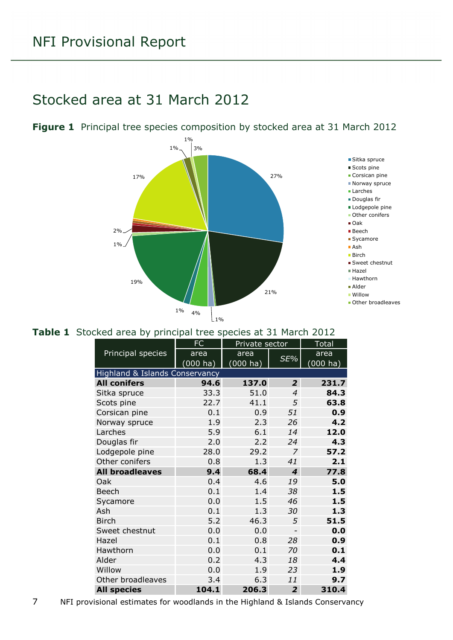### <span id="page-6-0"></span>Stocked area at 31 March 2012



#### <span id="page-6-1"></span>**Figure 1** Principal tree species composition by stocked area at 31 March 2012

#### <span id="page-6-2"></span>**Table 1** Stocked area by principal tree species at 31 March 2012

|                                | <b>FC</b> | Private sector        |                          | <b>Total</b>       |
|--------------------------------|-----------|-----------------------|--------------------------|--------------------|
| Principal species              | area      | area                  |                          | area               |
|                                | (000 ha)  | $(000 h\overline{a})$ | SE%                      | $(000 \text{ ha})$ |
| Highland & Islands Conservancy |           |                       |                          |                    |
| <b>All conifers</b>            | 94.6      | 137.0                 | $\overline{2}$           | 231.7              |
| Sitka spruce                   | 33.3      | 51.0                  | $\overline{4}$           | 84.3               |
| Scots pine                     | 22.7      | 41.1                  | 5                        | 63.8               |
| Corsican pine                  | 0.1       | 0.9                   | 51                       | 0.9                |
| Norway spruce                  | 1.9       | 2.3                   | 26                       | 4.2                |
| Larches                        | 5.9       | 6.1                   | 14                       | 12.0               |
| Douglas fir                    | 2.0       | 2.2                   | 24                       | 4.3                |
| Lodgepole pine                 | 28.0      | 29.2                  | 7                        | 57.2               |
| Other conifers                 | 0.8       | 1.3                   | 41                       | 2.1                |
| <b>All broadleaves</b>         | 9.4       | 68.4                  | 4                        | 77.8               |
| Oak                            | 0.4       | 4.6                   | 19                       | 5.0                |
| Beech                          | 0.1       | 1.4                   | 38                       | 1.5                |
| Sycamore                       | 0.0       | 1.5                   | 46                       | 1.5                |
| Ash                            | 0.1       | 1.3                   | 30                       | 1.3                |
| <b>Birch</b>                   | 5.2       | 46.3                  | 5                        | 51.5               |
| Sweet chestnut                 | 0.0       | 0.0                   | $\overline{\phantom{0}}$ | 0.0                |
| Hazel                          | 0.1       | 0.8                   | 28                       | 0.9                |
| Hawthorn                       | 0.0       | 0.1                   | 70                       | 0.1                |
| Alder                          | 0.2       | 4.3                   | 18                       | 4.4                |
| Willow                         | 0.0       | 1.9                   | 23                       | 1.9                |
| Other broadleaves              | 3.4       | 6.3                   | 11                       | 9.7                |
| <b>All species</b>             | 104.1     | 206.3                 | $\overline{2}$           | 310.4              |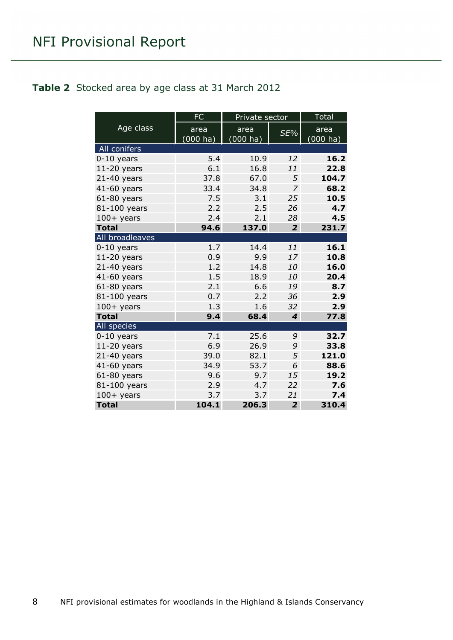#### <span id="page-7-0"></span>**Table 2** Stocked area by age class at 31 March 2012

|                 | <b>FC</b>   | Private sector |                             | <b>Total</b> |
|-----------------|-------------|----------------|-----------------------------|--------------|
| Age class       | area        | area           | $SE\%$                      | area         |
|                 | $(000)$ ha) | $(000)$ ha)    |                             | $(000)$ ha)  |
| All conifers    |             |                |                             |              |
| $0-10$ years    | 5.4         | 10.9           | 12                          | 16.2         |
| $11-20$ years   | 6.1         | 16.8           | 11                          | 22.8         |
| $21-40$ years   | 37.8        | 67.0           | 5                           | 104.7        |
| 41-60 years     | 33.4        | 34.8           | 7                           | 68.2         |
| $61-80$ years   | 7.5         | 3.1            | 25                          | 10.5         |
| 81-100 years    | 2.2         | 2.5            | 26                          | 4.7          |
| $100+$ years    | 2.4         | 2.1            | 28                          | 4.5          |
| <b>Total</b>    | 94.6        | 137.0          | $\overline{2}$              | 231.7        |
| All broadleaves |             |                |                             |              |
| $0-10$ years    | 1.7         | 14.4           | 11                          | 16.1         |
| $11-20$ years   | 0.9         | 9.9            | 17                          | 10.8         |
| $21-40$ years   | 1.2         | 14.8           | 10                          | 16.0         |
| 41-60 years     | 1.5         | 18.9           | 10                          | 20.4         |
| $61-80$ years   | 2.1         | 6.6            | 19                          | 8.7          |
| 81-100 years    | 0.7         | 2.2            | 36                          | 2.9          |
| $100+$ years    | 1.3         | 1.6            | 32                          | 2.9          |
| <b>Total</b>    | 9.4         | 68.4           | $\overline{\boldsymbol{4}}$ | 77.8         |
| All species     |             |                |                             |              |
| $0-10$ years    | 7.1         | 25.6           | 9                           | 32.7         |
| $11-20$ years   | 6.9         | 26.9           | 9                           | 33.8         |
| $21-40$ years   | 39.0        | 82.1           | 5                           | 121.0        |
| 41-60 years     | 34.9        | 53.7           | 6                           | 88.6         |
| $61-80$ years   | 9.6         | 9.7            | 15                          | 19.2         |
| 81-100 years    | 2.9         | 4.7            | 22                          | 7.6          |
| $100+$ years    | 3.7         | 3.7            | 21                          | 7.4          |
| <b>Total</b>    | 104.1       | 206.3          | $\overline{2}$              | 310.4        |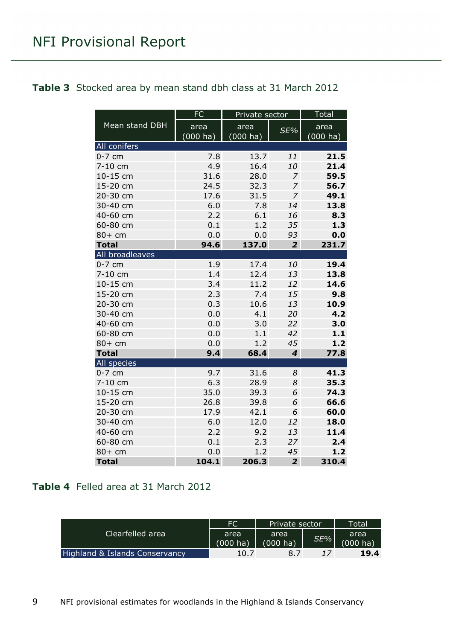#### <span id="page-8-0"></span>**Table 3** Stocked area by mean stand dbh class at 31 March 2012

|                 | FC       | Private sector     |                         | <b>Total</b>       |
|-----------------|----------|--------------------|-------------------------|--------------------|
| Mean stand DBH  | area     | area               | SE%                     | area               |
|                 | (000 ha) | $(000 \text{ ha})$ |                         | $(000 \text{ ha})$ |
| All conifers    |          |                    |                         |                    |
| $0-7$ cm        | 7.8      | 13.7               | 11                      | 21.5               |
| 7-10 cm         | 4.9      | 16.4               | 10                      | 21.4               |
| 10-15 cm        | 31.6     | 28.0               | $\overline{z}$          | 59.5               |
| 15-20 cm        | 24.5     | 32.3               | $\overline{z}$          | 56.7               |
| 20-30 cm        | 17.6     | 31.5               | $\overline{z}$          | 49.1               |
| 30-40 cm        | 6.0      | 7.8                | 14                      | 13.8               |
| 40-60 cm        | 2.2      | 6.1                | 16                      | 8.3                |
| 60-80 cm        | 0.1      | 1.2                | 35                      | 1.3                |
| $80+cm$         | 0.0      | 0.0                | 93                      | 0.0                |
| <b>Total</b>    | 94.6     | 137.0              | $\overline{2}$          | 231.7              |
| All broadleaves |          |                    |                         |                    |
| $0-7$ cm        | 1.9      | 17.4               | 10                      | 19.4               |
| 7-10 cm         | 1.4      | 12.4               | 13                      | 13.8               |
| 10-15 cm        | 3.4      | 11.2               | 12                      | 14.6               |
| 15-20 cm        | 2.3      | 7.4                | 15                      | 9.8                |
| 20-30 cm        | 0.3      | 10.6               | 13                      | 10.9               |
| 30-40 cm        | 0.0      | 4.1                | 20                      | 4.2                |
| 40-60 cm        | 0.0      | 3.0                | 22                      | 3.0                |
| 60-80 cm        | 0.0      | 1.1                | 42                      | $1.1$              |
| $80+cm$         | 0.0      | 1.2                | 45                      | 1.2                |
| <b>Total</b>    | 9.4      | 68.4               | $\overline{\mathbf{4}}$ | 77.8               |
| All species     |          |                    |                         |                    |
| $0-7$ cm        | 9.7      | 31.6               | 8                       | 41.3               |
| 7-10 cm         | 6.3      | 28.9               | 8                       | 35.3               |
| 10-15 cm        | 35.0     | 39.3               | 6                       | 74.3               |
| 15-20 cm        | 26.8     | 39.8               | 6                       | 66.6               |
| 20-30 cm        | 17.9     | 42.1               | 6                       | 60.0               |
| 30-40 cm        | 6.0      | 12.0               | 12                      | 18.0               |
| 40-60 cm        | 2.2      | 9.2                | 13                      | 11.4               |
| 60-80 cm        | 0.1      | 2.3                | 27                      | 2.4                |
| 80+ cm          | 0.0      | 1.2                | 45                      | 1.2                |
| <b>Total</b>    | 104.1    | 206.3              | $\overline{2}$          | 310.4              |

#### <span id="page-8-1"></span>**Table 4** Felled area at 31 March 2012

|                                | FC                 | Private sector     |     | Total    |
|--------------------------------|--------------------|--------------------|-----|----------|
| Clearfelled area               | area               | area               | SE% | area     |
|                                | $(000 \text{ ha})$ | $(000 \text{ ha})$ |     | (000 ha) |
| Highland & Islands Conservancy | 10.7               | 8.7                |     | 19.4     |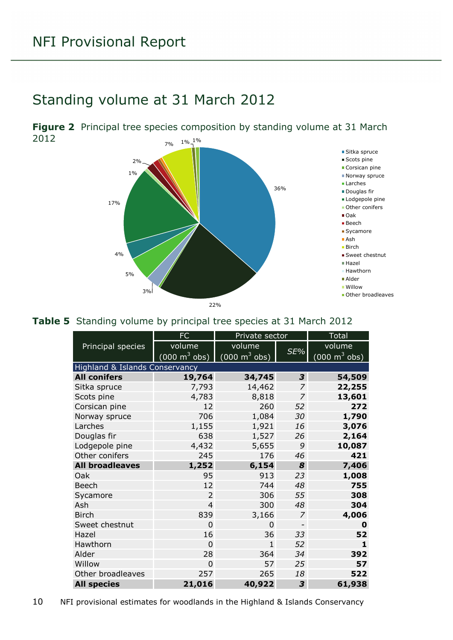### <span id="page-9-0"></span>Standing volume at 31 March 2012

<span id="page-9-1"></span> $7\%$  1%  $1\%$ **Figure 2** Principal tree species composition by standing volume at 31 March 2012



#### <span id="page-9-2"></span>**Table 5** Standing volume by principal tree species at 31 March 2012

|                                | FC                              | Private sector                  |                          | <b>Total</b>                    |
|--------------------------------|---------------------------------|---------------------------------|--------------------------|---------------------------------|
| Principal species              | volume                          | volume                          |                          | volume                          |
|                                | $(000 \text{ m}^3 \text{ obs})$ | $(000 \text{ m}^3 \text{ obs})$ | SE%                      | $(000 \text{ m}^3 \text{ obs})$ |
| Highland & Islands Conservancy |                                 |                                 |                          |                                 |
| <b>All conifers</b>            | 19,764                          | 34,745                          | 3                        | 54,509                          |
| Sitka spruce                   | 7,793                           | 14,462                          | $\overline{z}$           | 22,255                          |
| Scots pine                     | 4,783                           | 8,818                           | $\overline{z}$           | 13,601                          |
| Corsican pine                  | 12                              | 260                             | 52                       | 272                             |
| Norway spruce                  | 706                             | 1,084                           | 30                       | 1,790                           |
| Larches                        | 1,155                           | 1,921                           | 16                       | 3,076                           |
| Douglas fir                    | 638                             | 1,527                           | 26                       | 2,164                           |
| Lodgepole pine                 | 4,432                           | 5,655                           | 9                        | 10,087                          |
| Other conifers                 | 245                             | 176                             | 46                       | 421                             |
| <b>All broadleaves</b>         | 1,252                           | 6,154                           | 8                        | 7,406                           |
| Oak                            | 95                              | 913                             | 23                       | 1,008                           |
| <b>Beech</b>                   | 12                              | 744                             | 48                       | 755                             |
| Sycamore                       | $\overline{2}$                  | 306                             | 55                       | 308                             |
| Ash                            | $\overline{4}$                  | 300                             | 48                       | 304                             |
| <b>Birch</b>                   | 839                             | 3,166                           | $\overline{z}$           | 4,006                           |
| Sweet chestnut                 | $\Omega$                        | $\Omega$                        | $\overline{\phantom{a}}$ | $\mathbf 0$                     |
| Hazel                          | 16                              | 36                              | 33                       | 52                              |
| Hawthorn                       | 0                               | $\mathbf{1}$                    | 52                       | 1                               |
| Alder                          | 28                              | 364                             | 34                       | 392                             |
| Willow                         | $\mathbf 0$                     | 57                              | 25                       | 57                              |
| Other broadleaves              | 257                             | 265                             | 18                       | 522                             |
| <b>All species</b>             | 21,016                          | 40,922                          | 3                        | 61,938                          |

10 NFI provisional estimates for woodlands in the Highland & Islands Conservancy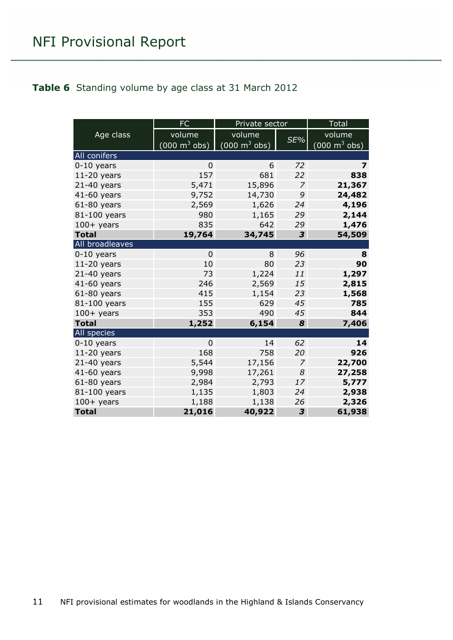#### <span id="page-10-0"></span>**Table 6** Standing volume by age class at 31 March 2012

|                 | <b>FC</b>                           | Private sector                  |                | <b>Total</b>                    |
|-----------------|-------------------------------------|---------------------------------|----------------|---------------------------------|
| Age class       | volume                              | volume                          |                | volume                          |
|                 | $(000 \; \text{m}^3 \; \text{obs})$ | $(000 \text{ m}^3 \text{ obs})$ | SE%            | $(000 \text{ m}^3 \text{ obs})$ |
| All conifers    |                                     |                                 |                |                                 |
| $0-10$ years    | $\Omega$                            | 6                               | 72             | 7                               |
| $11-20$ years   | 157                                 | 681                             | 22             | 838                             |
| $21-40$ years   | 5,471                               | 15,896                          | $\overline{z}$ | 21,367                          |
| 41-60 years     | 9,752                               | 14,730                          | 9              | 24,482                          |
| $61-80$ years   | 2,569                               | 1,626                           | 24             | 4,196                           |
| 81-100 years    | 980                                 | 1,165                           | 29             | 2,144                           |
| $100+$ years    | 835                                 | 642                             | 29             | 1,476                           |
| <b>Total</b>    | 19,764                              | 34,745                          | 3              | 54,509                          |
| All broadleaves |                                     |                                 |                |                                 |
| $0-10$ years    | $\Omega$                            | 8                               | 96             | 8                               |
| $11-20$ years   | 10                                  | 80                              | 23             | 90                              |
| $21-40$ years   | 73                                  | 1,224                           | 11             | 1,297                           |
| 41-60 years     | 246                                 | 2,569                           | 15             | 2,815                           |
| $61-80$ years   | 415                                 | 1,154                           | 23             | 1,568                           |
| 81-100 years    | 155                                 | 629                             | 45             | 785                             |
| $100+$ years    | 353                                 | 490                             | 45             | 844                             |
| <b>Total</b>    | 1,252                               | 6,154                           | 8              | 7,406                           |
| All species     |                                     |                                 |                |                                 |
| $0-10$ years    | $\overline{0}$                      | 14                              | 62             | 14                              |
| $11-20$ years   | 168                                 | 758                             | 20             | 926                             |
| $21-40$ years   | 5,544                               | 17,156                          | 7              | 22,700                          |
| 41-60 years     | 9,998                               | 17,261                          | 8              | 27,258                          |
| $61-80$ years   | 2,984                               | 2,793                           | 17             | 5,777                           |
| 81-100 years    | 1,135                               | 1,803                           | 24             | 2,938                           |
| $100+$ years    | 1,188                               | 1,138                           | 26             | 2,326                           |
| <b>Total</b>    | 21,016                              | 40,922                          | 3              | 61,938                          |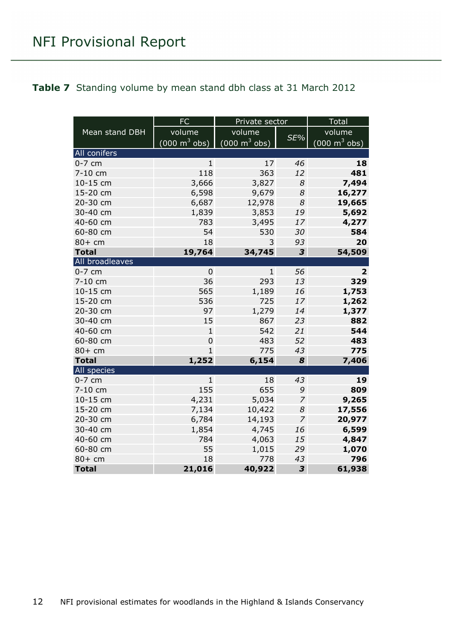#### <span id="page-11-0"></span>**Table 7** Standing volume by mean stand dbh class at 31 March 2012

|                 | FC                              | Private sector                  |                         | <b>Total</b>                    |
|-----------------|---------------------------------|---------------------------------|-------------------------|---------------------------------|
| Mean stand DBH  | volume                          | volume                          |                         | volume                          |
|                 | $(000 \text{ m}^3 \text{ obs})$ | $(000 \text{ m}^3 \text{ obs})$ | SE%                     | $(000 \text{ m}^3 \text{ obs})$ |
| All conifers    |                                 |                                 |                         |                                 |
| $0-7$ cm        | 1                               | 17                              | 46                      | 18                              |
| 7-10 cm         | 118                             | 363                             | 12                      | 481                             |
| 10-15 cm        | 3,666                           | 3,827                           | 8                       | 7,494                           |
| 15-20 cm        | 6,598                           | 9,679                           | 8                       | 16,277                          |
| 20-30 cm        | 6,687                           | 12,978                          | 8                       | 19,665                          |
| 30-40 cm        | 1,839                           | 3,853                           | 19                      | 5,692                           |
| 40-60 cm        | 783                             | 3,495                           | 17                      | 4,277                           |
| 60-80 cm        | 54                              | 530                             | 30                      | 584                             |
| 80+ cm          | 18                              | 3                               | 93                      | 20                              |
| <b>Total</b>    | 19,764                          | 34,745                          | $\overline{\mathbf{3}}$ | 54,509                          |
| All broadleaves |                                 |                                 |                         |                                 |
| $0-7$ cm        | $\mathbf 0$                     | $\mathbf{1}$                    | 56                      | $\overline{2}$                  |
| 7-10 cm         | 36                              | 293                             | 13                      | 329                             |
| 10-15 cm        | 565                             | 1,189                           | 16                      | 1,753                           |
| 15-20 cm        | 536                             | 725                             | 17                      | 1,262                           |
| 20-30 cm        | 97                              | 1,279                           | 14                      | 1,377                           |
| 30-40 cm        | 15                              | 867                             | 23                      | 882                             |
| 40-60 cm        | $\mathbf{1}$                    | 542                             | 21                      | 544                             |
| 60-80 cm        | 0                               | 483                             | 52                      | 483                             |
| 80+ cm          | 1                               | 775                             | 43                      | 775                             |
| <b>Total</b>    | 1,252                           | 6,154                           | 8                       | 7,406                           |
| All species     |                                 |                                 |                         |                                 |
| $0-7$ cm        | $\mathbf{1}$                    | 18                              | 43                      | 19                              |
| 7-10 cm         | 155                             | 655                             | 9                       | 809                             |
| 10-15 cm        | 4,231                           | 5,034                           | 7                       | 9,265                           |
| 15-20 cm        | 7,134                           | 10,422                          | 8                       | 17,556                          |
| 20-30 cm        | 6,784                           | 14,193                          | $\overline{z}$          | 20,977                          |
| 30-40 cm        | 1,854                           | 4,745                           | 16                      | 6,599                           |
| 40-60 cm        | 784                             | 4,063                           | 15                      | 4,847                           |
| 60-80 cm        | 55                              | 1,015                           | 29                      | 1,070                           |
| 80+ cm          | 18                              | 778                             | 43                      | 796                             |
| <b>Total</b>    | 21,016                          | 40,922                          | 3                       | 61,938                          |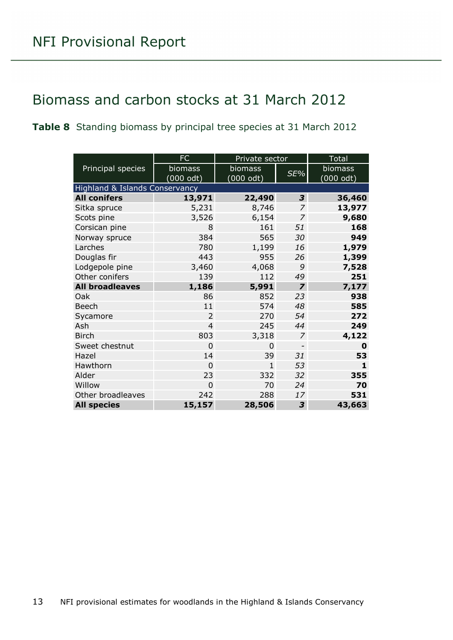### <span id="page-12-0"></span>Biomass and carbon stocks at 31 March 2012

#### <span id="page-12-1"></span>**Table 8** Standing biomass by principal tree species at 31 March 2012

|                                | FC             | Private sector      |                | <b>Total</b> |
|--------------------------------|----------------|---------------------|----------------|--------------|
| Principal species              | biomass        | <b>biomass</b>      | SE%            | biomass      |
|                                | (000 odt)      | $(000 \text{ odt})$ |                | (000 odt)    |
| Highland & Islands Conservancy |                |                     |                |              |
| <b>All conifers</b>            | 13,971         | 22,490              | 3              | 36,460       |
| Sitka spruce                   | 5,231          | 8,746               | $\overline{z}$ | 13,977       |
| Scots pine                     | 3,526          | 6,154               | $\overline{z}$ | 9,680        |
| Corsican pine                  | 8              | 161                 | 51             | 168          |
| Norway spruce                  | 384            | 565                 | 30             | 949          |
| Larches                        | 780            | 1,199               | 16             | 1,979        |
| Douglas fir                    | 443            | 955                 | 26             | 1,399        |
| Lodgepole pine                 | 3,460          | 4,068               | 9              | 7,528        |
| Other conifers                 | 139            | 112                 | 49             | 251          |
| <b>All broadleaves</b>         | 1,186          | 5,991               | $\overline{z}$ | 7,177        |
| Oak                            | 86             | 852                 | 23             | 938          |
| <b>Beech</b>                   | 11             | 574                 | 48             | 585          |
| Sycamore                       | 2              | 270                 | 54             | 272          |
| Ash                            | 4              | 245                 | 44             | 249          |
| <b>Birch</b>                   | 803            | 3,318               | 7              | 4,122        |
| Sweet chestnut                 | 0              | 0                   |                | 0            |
| Hazel                          | 14             | 39                  | 31             | 53           |
| Hawthorn                       | $\Omega$       | $\mathbf{1}$        | 53             | 1            |
| Alder                          | 23             | 332                 | 32             | 355          |
| Willow                         | $\overline{0}$ | 70                  | 24             | 70           |
| Other broadleaves              | 242            | 288                 | 17             | 531          |
| <b>All species</b>             | 15,157         | 28,506              | 3              | 43,663       |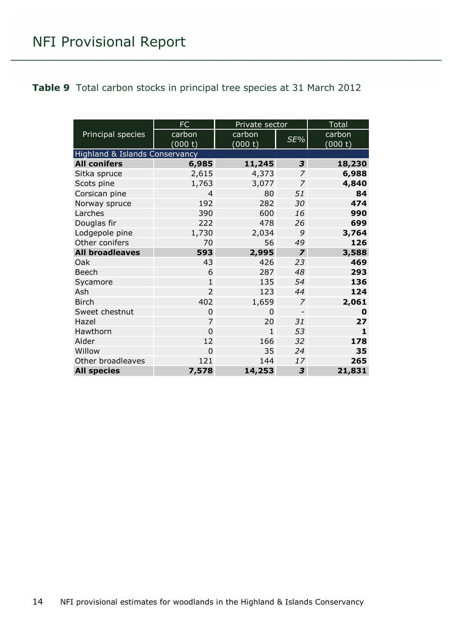#### <span id="page-13-0"></span>**Table 9** Total carbon stocks in principal tree species at 31 March 2012

|                                | FC             | Private sector |                | Total        |
|--------------------------------|----------------|----------------|----------------|--------------|
| Principal species              | carbon         | carbon         |                | carbon       |
|                                | (000 t)        | (000 t)        | SE%            | (000 t)      |
| Highland & Islands Conservancy |                |                |                |              |
| <b>All conifers</b>            | 6,985          | 11,245         | 3              | 18,230       |
| Sitka spruce                   | 2,615          | 4,373          | 7              | 6,988        |
| Scots pine                     | 1,763          | 3,077          | $\overline{z}$ | 4,840        |
| Corsican pine                  | $\overline{4}$ | 80             | 51             | 84           |
| Norway spruce                  | 192            | 282            | 30             | 474          |
| Larches                        | 390            | 600            | 16             | 990          |
| Douglas fir                    | 222            | 478            | 26             | 699          |
| Lodgepole pine                 | 1,730          | 2,034          | 9              | 3,764        |
| Other conifers                 | 70             | 56             | 49             | 126          |
| <b>All broadleaves</b>         | 593            | 2,995          | $\overline{z}$ | 3,588        |
| Oak                            | 43             | 426            | 23             | 469          |
| <b>Beech</b>                   | 6              | 287            | 48             | 293          |
| Sycamore                       | $\mathbf{1}$   | 135            | 54             | 136          |
| Ash                            | $\overline{2}$ | 123            | 44             | 124          |
| <b>Birch</b>                   | 402            | 1,659          | 7              | 2,061        |
| Sweet chestnut                 | 0              | 0              |                | 0            |
| Hazel                          | $\overline{7}$ | 20             | 31             | 27           |
| Hawthorn                       | $\overline{0}$ | $\mathbf{1}$   | 53             | $\mathbf{1}$ |
| Alder                          | 12             | 166            | 32             | 178          |
| Willow                         | $\overline{0}$ | 35             | 24             | 35           |
| Other broadleaves              | 121            | 144            | 17             | 265          |
| <b>All species</b>             | 7,578          | 14,253         | 3              | 21,831       |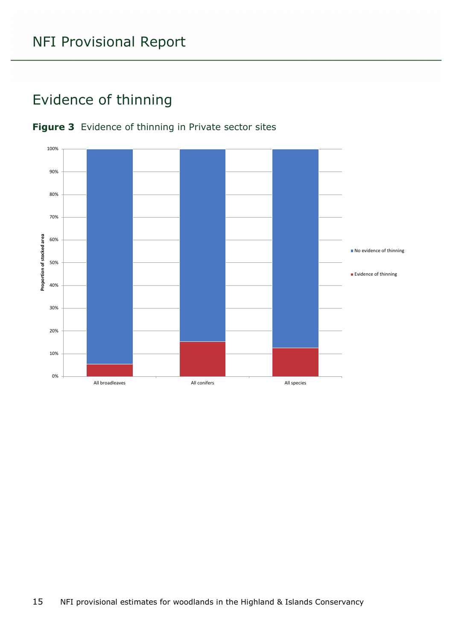### <span id="page-14-0"></span>Evidence of thinning



#### <span id="page-14-1"></span>**Figure 3** Evidence of thinning in Private sector sites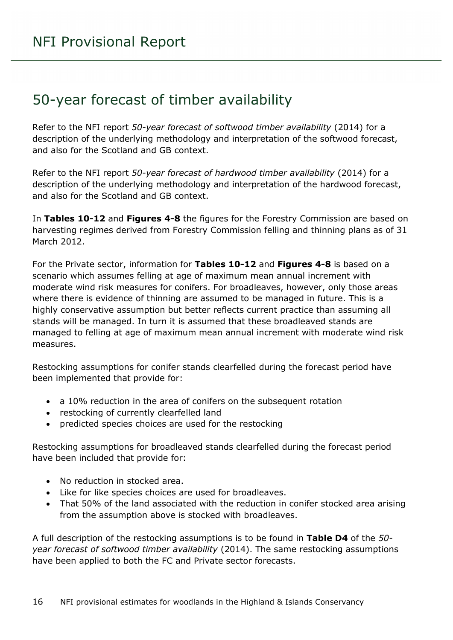#### <span id="page-15-0"></span>50-year forecast of timber availability

Refer to the NFI report *50-year forecast of softwood timber availability* (2014) for a description of the underlying methodology and interpretation of the softwood forecast, and also for the Scotland and GB context.

Refer to the NFI report *50-year forecast of hardwood timber availability* (2014) for a description of the underlying methodology and interpretation of the hardwood forecast, and also for the Scotland and GB context.

In **Tables 10-12** and **Figures 4-8** the figures for the Forestry Commission are based on harvesting regimes derived from Forestry Commission felling and thinning plans as of 31 March 2012.

For the Private sector, information for **Tables 10-12** and **Figures 4-8** is based on a scenario which assumes felling at age of maximum mean annual increment with moderate wind risk measures for conifers. For broadleaves, however, only those areas where there is evidence of thinning are assumed to be managed in future. This is a highly conservative assumption but better reflects current practice than assuming all stands will be managed. In turn it is assumed that these broadleaved stands are managed to felling at age of maximum mean annual increment with moderate wind risk measures.

Restocking assumptions for conifer stands clearfelled during the forecast period have been implemented that provide for:

- a 10% reduction in the area of conifers on the subsequent rotation
- restocking of currently clearfelled land
- predicted species choices are used for the restocking

Restocking assumptions for broadleaved stands clearfelled during the forecast period have been included that provide for:

- No reduction in stocked area.
- Like for like species choices are used for broadleaves.
- That 50% of the land associated with the reduction in conifer stocked area arising from the assumption above is stocked with broadleaves.

A full description of the restocking assumptions is to be found in **Table D4** of the *50 year forecast of softwood timber availability* (2014). The same restocking assumptions have been applied to both the FC and Private sector forecasts.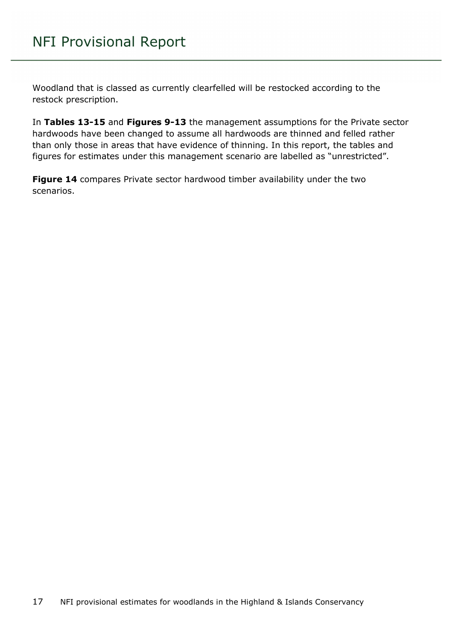Woodland that is classed as currently clearfelled will be restocked according to the restock prescription.

In **Tables 13-15** and **Figures 9-13** the management assumptions for the Private sector hardwoods have been changed to assume all hardwoods are thinned and felled rather than only those in areas that have evidence of thinning. In this report, the tables and figures for estimates under this management scenario are labelled as "unrestricted".

Figure 14 compares Private sector hardwood timber availability under the two scenarios.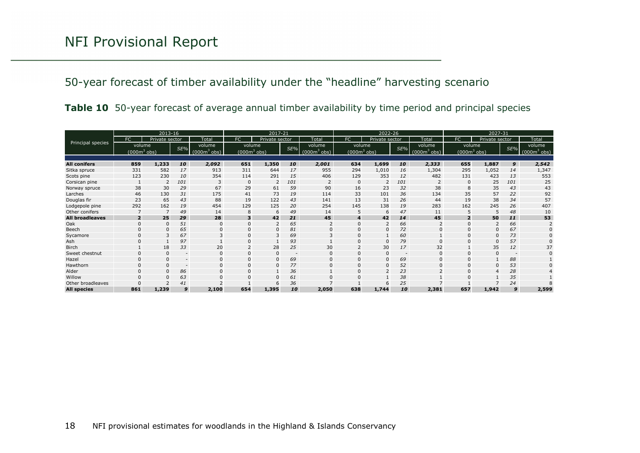#### 50-year forecast of timber availability under the "headline" harvesting scenario

|  | Table 10 50-year forecast of average annual timber availability by time period and principal species |  |  |  |  |
|--|------------------------------------------------------------------------------------------------------|--|--|--|--|
|  |                                                                                                      |  |  |  |  |

<span id="page-17-0"></span>

| 2013-16                |                |                |                          | 2017-21      |                          | 2022-26        |                          |                         |                          | 2027-31        |                          |              |                          |                |                          |              |
|------------------------|----------------|----------------|--------------------------|--------------|--------------------------|----------------|--------------------------|-------------------------|--------------------------|----------------|--------------------------|--------------|--------------------------|----------------|--------------------------|--------------|
|                        | FC.            | Private sector |                          | Total        | FC                       | Private sector |                          | Total                   | FC                       | Private sector |                          | Total        | FC                       | Private sector |                          | Total        |
| Principal species      | volume         |                | SE%                      | volume       | volume                   |                | SE%                      | volume                  | volume                   |                | SE%                      | volume       | volume                   |                | SE%                      | volume       |
|                        | $(0003$ obs)   |                |                          | $(0003$ obs) | (000 $\mathrm{m}^3$ obs) |                |                          | (000m <sup>3</sup> obs) | (000 $\mathsf{m}^3$ obs) |                |                          | $(0003$ obs) | (000 $\mathsf{m}^3$ obs) |                |                          | $(0003$ obs) |
|                        |                |                |                          |              |                          |                |                          |                         |                          |                |                          |              |                          |                |                          |              |
| <b>All conifers</b>    | 859            | 1,233          | 10                       | 2,092        | 651                      | 1,350          | 10                       | 2,001                   | 634                      | 1,699          | 10                       | 2,333        | 655                      | 1,887          | 9                        | 2,542        |
| Sitka spruce           | 331            | 582            | 17                       | 913          | 311                      | 644            | 17                       | 955                     | 294                      | 1,010          | 16                       | 1,304        | 295                      | 1,052          | 14                       | 1,347        |
| Scots pine             | 123            | 230            | 10                       | 354          | 114                      | 291            | 15                       | 406                     | 129                      | 353            | 12                       | 482          | 131                      | 423            | 13                       | 553          |
| Corsican pine          |                | $\overline{2}$ | 101                      | 3            | $\mathbf 0$              | 2              | 101                      | 2                       | $\Omega$                 | 2              | 101                      | 2            | $\Omega$                 | 25             | 101                      | 25           |
| Norway spruce          | 38             | 30             | 29                       | 67           | 29                       | 61             | 59                       | 90                      | 16                       | 23             | 32                       | 38           | 8                        | 35             | 43                       | 43           |
| Larches                | 46             | 130            | 31                       | 175          | 41                       | 73             | 19                       | 114                     | 33                       | 101            | 36                       | 134          | 35                       | 57             | 22                       | 92           |
| Douglas fir            | 23             | 65             | 43                       | 88           | 19                       | 122            | 43                       | 141                     | 13                       | 31             | 26                       | 44           | 19                       | 38             | 34                       | 57           |
| Lodgepole pine         | 292            | 162            | 19                       | 454          | 129                      | 125            | 20                       | 254                     | 145                      | 138            | 19                       | 283          | 162                      | 245            | 26                       | 407          |
| Other conifers         |                |                | 49                       | 14           | 8                        | 6              | 49                       | 14                      |                          | 6              | 47                       | 11           |                          | 5              | 48                       | 10           |
| <b>All broadleaves</b> | $\overline{2}$ | 25             | 29                       | 28           | 3                        | 42             | 21                       | 45                      |                          | 42             | 14                       | 45           | $\overline{2}$           | 50             | 11                       | 53           |
| Oak                    |                | $\Omega$       | 51                       |              | $\Omega$                 | 2              | 65                       | 2                       |                          | 2              | 66                       |              |                          | 2              | 66                       |              |
| Beech                  |                | $\Omega$       | 65                       |              | 0                        | $\mathbf{0}$   | 81                       | $\Omega$                |                          | $\mathbf 0$    | 72                       |              |                          |                | 67                       |              |
| Sycamore               |                |                | 67                       |              | $\mathbf 0$              | 3              | 69                       | 3                       |                          |                | 60                       |              |                          |                | 73                       |              |
| Ash                    |                |                | 97                       |              | $\mathbf 0$              | $\overline{1}$ | 93                       |                         |                          | $\mathbf{0}$   | 79                       | $\Omega$     | $\Omega$                 | $\Omega$       | 57                       |              |
| Birch                  |                | 18             | 33                       | 20           | 2                        | 28             | 25                       | 30                      |                          | 30             | 17                       | 32           |                          | 35             | 12                       | 37           |
| Sweet chestnut         |                | $\Omega$       | $\overline{\phantom{a}}$ |              | $\mathbf 0$              | 0              | $\overline{\phantom{a}}$ | $\mathbf 0$             |                          | $\mathbf 0$    | $\overline{\phantom{a}}$ | $\mathbf 0$  | $\Omega$                 | 0              | $\overline{\phantom{a}}$ |              |
| Hazel                  |                | $\Omega$       | $\overline{\phantom{a}}$ |              | $\mathbf 0$              | 0              | 69                       | $\Omega$                |                          | $\mathbf 0$    | 69                       | $\Omega$     |                          |                | 88                       |              |
| Hawthorn               |                | $\Omega$       | $\overline{\phantom{a}}$ | $\Omega$     | $\mathbf 0$              | 0              | 77                       | $\Omega$                |                          | $\mathbf{0}$   | 52                       | $\Omega$     | $\Omega$                 | $\Omega$       | 53                       |              |
| Alder                  |                | $\Omega$       | 86                       |              | $\mathbf{0}$             |                | 36                       |                         |                          | $\overline{2}$ | 23                       |              |                          |                | 28                       |              |
| Willow                 |                | $\Omega$       | 63                       |              |                          | $\mathbf{0}$   | 61                       | $\Omega$                |                          |                | 38                       |              |                          |                | 35                       |              |
| Other broadleaves      |                |                | 41                       |              |                          | 6              | 36                       |                         |                          | 6              | 25                       |              |                          |                | 24                       |              |
| <b>All species</b>     | 861            | 1,239          | 9                        | 2,100        | 654                      | 1,395          | 10                       | 2,050                   | 638                      | 1,744          | 10                       | 2,381        | 657                      | 1,942          | 9                        | 2,599        |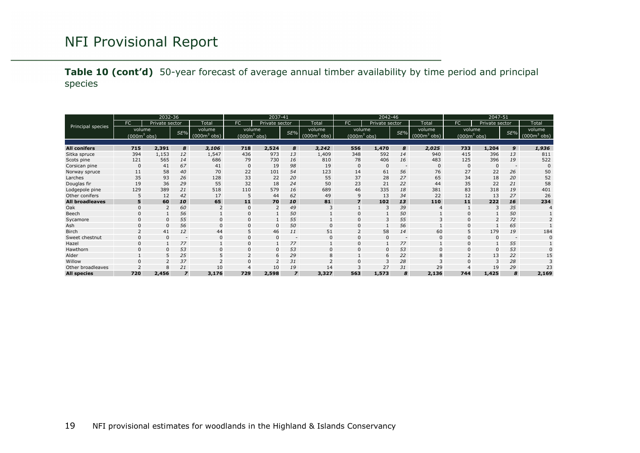**Table 10 (cont'd)** 50-year forecast of average annual timber availability by time period and principal species

<span id="page-18-0"></span>

|                        |                 | 2032-36        |                          |              | 2037-41      |                |                          | 2042-46                  |              |                |                          | 2047-51      |              |                |                          |                                |
|------------------------|-----------------|----------------|--------------------------|--------------|--------------|----------------|--------------------------|--------------------------|--------------|----------------|--------------------------|--------------|--------------|----------------|--------------------------|--------------------------------|
|                        | FC              | Private sector |                          | Total        | <b>FC</b>    | Private sector |                          | Total                    | FC           | Private sector |                          | Total        | FC.          | Private sector |                          | Total                          |
| Principal species      | volume          |                | SE%                      | volume       | volume       |                | SE%                      | volume                   | volume       |                | SE%                      | volume       | volume       |                | SE%                      | volume                         |
|                        | (000 $m^3$ obs) |                |                          | $(0003$ obs) | $(0003$ obs) |                |                          | (000 $\mathsf{m}^3$ obs) | $(0003$ obs) |                |                          | $(0003$ obs) | $(0003$ obs) |                |                          | $(000 \text{m}^3 \text{ obs})$ |
|                        |                 |                |                          |              |              |                |                          |                          |              |                |                          |              |              |                |                          |                                |
| <b>All conifers</b>    | 715             | 2,391          | 8                        | 3,106        | 718          | 2,524          | 8                        | 3,242                    | 556          | 1,470          | 8                        | 2,025        | 733          | 1,204          | 9                        | 1,936                          |
| Sitka spruce           | 394             | 1,153          | 12                       | 1,547        | 436          | 973            | 13                       | 1,409                    | 348          | 592            | 14                       | 940          | 415          | 396            | 13                       | 811                            |
| Scots pine             | 121             | 565            | 14                       | 686          | 79           | 730            | 16                       | 810                      | 78           | 406            | 16                       | 483          | 125          | 396            | 19                       | 522                            |
| Corsican pine          | $\mathbf{0}$    | 41             | 67                       | 41           | $\mathbf 0$  | 19             | 98                       | 19                       | $\mathbf{0}$ | $\Omega$       | $\overline{\phantom{a}}$ | $\mathbf{0}$ | $\mathbf 0$  | $\Omega$       | $\overline{\phantom{a}}$ | $\mathbf{0}$                   |
| Norway spruce          | 11              | 58             | 40                       | 70           | 22           | 101            | 54                       | 123                      | 14           | 61             | 56                       | 76           | 27           | 22             | 26                       | 50                             |
| Larches                | 35              | 93             | 26                       | 128          | 33           | 22             | 20                       | 55                       | 37           | 28             | 27                       | 65           | 34           | 18             | 20                       | 52                             |
| Douglas fir            | 19              | 36             | 29                       | 55           | 32           | 18             | 24                       | 50                       | 23           | 21             | 22                       | 44           | 35           | 22             | 21                       | 58                             |
| Lodgepole pine         | 129             | 389            | 21                       | 518          | 110          | 579            | 16                       | 689                      | 46           | 335            | 18                       | 381          | 83           | 318            | 19                       | 401                            |
| Other conifers         |                 | 12             | 42                       | 17           | 5            | 44             | 62                       | 49                       |              | 13             | 34                       | 22           | 12           | 13             | 27                       | 26                             |
| <b>All broadleaves</b> | 5               | 60             | 10                       | 65           | 11           | 70             | 10                       | 81                       |              | 102            | 13                       | 110          | 11           | 222            | 16                       | 234                            |
| Oak                    |                 | $\overline{2}$ | 60                       |              | $\mathbf{0}$ | $\overline{2}$ | 49                       | 3                        |              | 3              | 39                       |              |              | 3              | 35                       |                                |
| Beech                  |                 |                | 56                       |              | $\Omega$     |                | 50                       |                          |              |                | 50                       |              | $\Omega$     |                | 50                       |                                |
| Sycamore               |                 | $\Omega$       | 55                       |              | $\Omega$     |                | 55                       |                          |              | 3              | 55                       |              |              |                | 72                       |                                |
| Ash                    |                 | $\Omega$       | 56                       | $\Omega$     | $\mathbf 0$  | $\mathbf{0}$   | 50                       | $\Omega$                 |              |                | 56                       |              | $\Omega$     |                | 65                       |                                |
| <b>Birch</b>           |                 | 41             | 12                       | 44           | 5            | 46             | 11                       | 51                       |              | 58             | 14                       | 60           |              | 179            | 19                       | 184                            |
| Sweet chestnut         |                 | $\Omega$       | $\overline{\phantom{a}}$ |              | $\mathbf 0$  | 0              | $\overline{\phantom{a}}$ | $\mathbf 0$              |              | $\Omega$       | $\overline{\phantom{a}}$ | $\mathbf{0}$ | $\Omega$     |                | $\overline{\phantom{a}}$ |                                |
| Hazel                  |                 |                | 77                       |              | $\Omega$     |                | 77                       |                          |              |                | 77                       |              | $\Omega$     |                | 55                       |                                |
| Hawthorn               |                 | $\Omega$       | 53                       | $\Omega$     | $\mathbf 0$  | $\mathbf 0$    | 53                       | $\Omega$                 |              | $\mathbf 0$    | 53                       | $\Omega$     | $\Omega$     |                | 53                       |                                |
| Alder                  |                 | 5              | 25                       |              |              | 6              | 29                       | 8                        |              | 6              | 22                       |              |              | 13             | 22                       | 15                             |
| Willow                 |                 |                | 37                       |              | $\Omega$     | $\overline{2}$ | 31                       |                          |              | 3              | 28                       |              |              |                | 28                       |                                |
| Other broadleaves      |                 | 8              | 21                       | 10           |              | 10             | 19                       | 14                       |              | 27             | 31                       | 29           |              | 19             | 29                       | 23                             |
| <b>All species</b>     | 720             | 2,456          | $\overline{z}$           | 3,176        | 729          | 2,598          | $\overline{z}$           | 3,327                    | 563          | 1,573          | 8                        | 2,136        | 744          | 1,425          | 8                        | 2,169                          |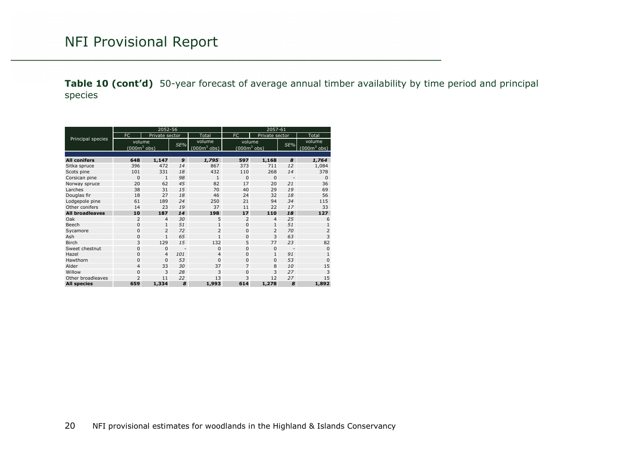**Table 10 (cont'd)** 50-year forecast of average annual timber availability by time period and principal species

<span id="page-19-0"></span>

|                        |                | 2052-56        |     |                                | 2057-61         |                |                          |                |  |  |  |
|------------------------|----------------|----------------|-----|--------------------------------|-----------------|----------------|--------------------------|----------------|--|--|--|
|                        | FC             | Private sector |     | Total                          | FC              | Private sector |                          | Total          |  |  |  |
| Principal species      | volume         |                |     | volume                         | volume          |                |                          | volume         |  |  |  |
|                        | $(0003$ obs)   |                | SE% | $(000 \text{m}^3 \text{ obs})$ | (000 $m^3$ obs) |                | SE%                      | $(0003$ obs)   |  |  |  |
|                        |                |                |     |                                |                 |                |                          |                |  |  |  |
| <b>All conifers</b>    | 648            | 1,147          | 9   | 1,795                          | 597             | 1,168          | 8                        | 1,764          |  |  |  |
| Sitka spruce           | 396            | 472            | 14  | 867                            | 373             | 711            | 12                       | 1,084          |  |  |  |
| Scots pine             | 101            | 331            | 18  | 432                            | 110             | 268            | 14                       | 378            |  |  |  |
| Corsican pine          | $\mathbf 0$    | $\mathbf{1}$   | 98  | $\mathbf{1}$                   | $\Omega$        | $\Omega$       | $\overline{\phantom{a}}$ | $\Omega$       |  |  |  |
| Norway spruce          | 20             | 62             | 45  | 82                             | 17              | 20             | 21                       | 36             |  |  |  |
| Larches                | 38             | 31             | 15  | 70                             | 40              | 29             | 19                       | 69             |  |  |  |
| Douglas fir            | 18             | 27             | 18  | 46                             | 24              | 32             | 18                       | 56             |  |  |  |
| Lodgepole pine         | 61             | 189            | 24  | 250                            | 21              | 94             | 34                       | 115            |  |  |  |
| Other conifers         | 14             | 23             | 19  | 37                             | 11              | 22             | 17                       | 33             |  |  |  |
| <b>All broadleaves</b> | 10             | 187            | 14  | 198                            | 17              | 110            | 18                       | 127            |  |  |  |
| Oak                    | 2              | $\overline{4}$ | 30  | 5                              | 2               | $\overline{4}$ | 25                       | 6              |  |  |  |
| Beech                  | $\mathbf 0$    | $\mathbf{1}$   | 51  | $\mathbf{1}$                   | $\Omega$        | $\mathbf{1}$   | 51                       | $\mathbf{1}$   |  |  |  |
| Sycamore               | $\mathbf 0$    | $\overline{2}$ | 72  | $\overline{2}$                 | $\Omega$        | $\overline{2}$ | 70                       | $\overline{2}$ |  |  |  |
| Ash                    | $\mathbf 0$    | $\mathbf{1}$   | 65  | $\mathbf{1}$                   | $\Omega$        | 3              | 63                       | 3              |  |  |  |
| <b>Birch</b>           | 3              | 129            | 15  | 132                            | 5               | 77             | 23                       | 82             |  |  |  |
| Sweet chestnut         | 0              | $\mathbf{0}$   |     | $\mathbf{0}$                   | $\mathbf{0}$    | $\mathbf 0$    |                          | $\mathbf{0}$   |  |  |  |
| Hazel                  | $\mathbf 0$    | $\overline{4}$ | 101 | $\overline{4}$                 | $\Omega$        | $\mathbf{1}$   | 91                       | $\mathbf{1}$   |  |  |  |
| Hawthorn               | $\mathbf 0$    | $\Omega$       | 53  | $\Omega$                       | $\Omega$        | $\Omega$       | 53                       | $\Omega$       |  |  |  |
| Alder                  | $\overline{4}$ | 33             | 30  | 37                             | $\overline{7}$  | 8              | 10                       | 15             |  |  |  |
| Willow                 | $\mathbf 0$    | 3              | 28  | 3                              | $\Omega$        | 3              | 27                       | 3              |  |  |  |
| Other broadleaves      | $\overline{2}$ | 11             | 22  | 13                             | 3               | 12             | 27                       | 15             |  |  |  |
| <b>All species</b>     | 659            | 1,334          | 8   | 1,993                          | 614             | 1,278          | 8                        | 1,892          |  |  |  |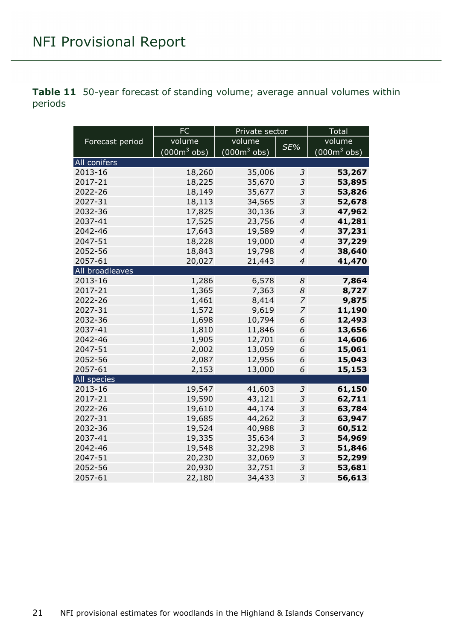<span id="page-20-0"></span>**Table 11** 50-year forecast of standing volume; average annual volumes within periods

|                 | <b>FC</b>      | Private sector |                          | <b>Total</b>   |  |  |
|-----------------|----------------|----------------|--------------------------|----------------|--|--|
| Forecast period | volume         | volume         |                          | volume         |  |  |
|                 | $(000m^3$ obs) | $(000m^3$ obs) | SE%                      | $(000m^3$ obs) |  |  |
| All conifers    |                |                |                          |                |  |  |
| 2013-16         | 18,260         | 35,006         | 3                        | 53,267         |  |  |
| 2017-21         | 18,225         | 35,670         | 3                        | 53,895         |  |  |
| 2022-26         | 18,149         | 35,677         | 3                        | 53,826         |  |  |
| 2027-31         | 18,113         | 34,565         | 3                        | 52,678         |  |  |
| 2032-36         | 17,825         | 30,136         | 3                        | 47,962         |  |  |
| 2037-41         | 17,525         | 23,756         | $\overline{4}$           | 41,281         |  |  |
| 2042-46         | 17,643         | 19,589         | $\overline{\mathcal{A}}$ | 37,231         |  |  |
| 2047-51         | 18,228         | 19,000         | $\overline{4}$           | 37,229         |  |  |
| 2052-56         | 18,843         | 19,798         | $\overline{4}$           | 38,640         |  |  |
| 2057-61         | 20,027         | 21,443         | $\overline{\mathcal{A}}$ | 41,470         |  |  |
| All broadleaves |                |                |                          |                |  |  |
| 2013-16         | 1,286          | 6,578          | 8                        | 7,864          |  |  |
| 2017-21         | 1,365          | 7,363          | 8                        | 8,727          |  |  |
| 2022-26         | 1,461          | 8,414          | 7                        | 9,875          |  |  |
| 2027-31         | 1,572          | 9,619          | 7                        | 11,190         |  |  |
| 2032-36         | 1,698          | 10,794         | 6                        | 12,493         |  |  |
| 2037-41         | 1,810          | 11,846         | 6                        | 13,656         |  |  |
| 2042-46         | 1,905          | 12,701         | 6                        | 14,606         |  |  |
| 2047-51         | 2,002          | 13,059         | 6                        | 15,061         |  |  |
| 2052-56         | 2,087          | 12,956         | 6                        | 15,043         |  |  |
| 2057-61         | 2,153          | 13,000         | 6                        | 15,153         |  |  |
| All species     |                |                |                          |                |  |  |
| 2013-16         | 19,547         | 41,603         | 3                        | 61,150         |  |  |
| 2017-21         | 19,590         | 43,121         | 3                        | 62,711         |  |  |
| 2022-26         | 19,610         | 44,174         | 3                        | 63,784         |  |  |
| 2027-31         | 19,685         | 44,262         | 3                        | 63,947         |  |  |
| 2032-36         | 19,524         | 40,988         | 3                        | 60,512         |  |  |
| 2037-41         | 19,335         | 35,634         | 3                        | 54,969         |  |  |
| 2042-46         | 19,548         | 32,298         | 3                        | 51,846         |  |  |
| 2047-51         | 20,230         | 32,069         | 3                        | 52,299         |  |  |
| 2052-56         | 20,930         | 32,751         | $\mathfrak{Z}$           | 53,681         |  |  |
| 2057-61         | 22,180         | 34,433         | 3                        | 56,613         |  |  |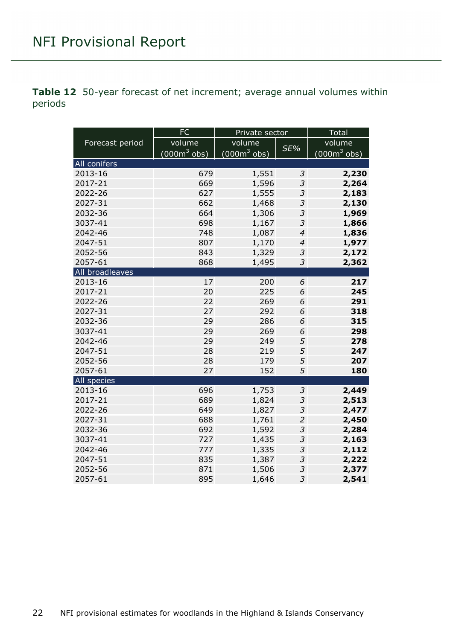<span id="page-21-0"></span>**Table 12** 50-year forecast of net increment; average annual volumes within periods

|                 | FC             | Private sector |                             | Total                  |  |  |
|-----------------|----------------|----------------|-----------------------------|------------------------|--|--|
| Forecast period | volume         | volume         | SE%                         | volume                 |  |  |
|                 | $(000m^3$ obs) | $(000m3$ obs)  |                             | $(000m^3 \text{ obs})$ |  |  |
| All conifers    |                |                |                             |                        |  |  |
| 2013-16         | 679            | 1,551          | 3                           | 2,230                  |  |  |
| 2017-21         | 669            | 1,596          | 3                           | 2,264                  |  |  |
| 2022-26         | 627            | 1,555          | 3                           | 2,183                  |  |  |
| 2027-31         | 662            | 1,468          | 3                           | 2,130                  |  |  |
| 2032-36         | 664            | 1,306          | 3                           | 1,969                  |  |  |
| 3037-41         | 698            | 1,167          | 3                           | 1,866                  |  |  |
| 2042-46         | 748            | 1,087          | $\overline{\mathcal{A}}$    | 1,836                  |  |  |
| 2047-51         | 807            | 1,170          | $\overline{\mathcal{A}}$    | 1,977                  |  |  |
| 2052-56         | 843            | 1,329          | 3                           | 2,172                  |  |  |
| 2057-61         | 868            | 1,495          | $\mathcal{S}_{\mathcal{S}}$ | 2,362                  |  |  |
| All broadleaves |                |                |                             |                        |  |  |
| 2013-16         | 17             | 200            | 6                           | 217                    |  |  |
| 2017-21         | 20             | 225            | 6                           | 245                    |  |  |
| 2022-26         | 22             | 269            | 6                           | 291                    |  |  |
| 2027-31         | 27             | 292            | 6                           | 318                    |  |  |
| 2032-36         | 29             | 286            | 6                           | 315                    |  |  |
| 3037-41         | 29             | 269            | 6                           | 298                    |  |  |
| 2042-46         | 29             | 249            | 5                           | 278                    |  |  |
| 2047-51         | 28             | 219            | 5                           | 247                    |  |  |
| 2052-56         | 28             | 179            | 5                           | 207                    |  |  |
| 2057-61         | 27             | 152            | 5                           | 180                    |  |  |
| All species     |                |                |                             |                        |  |  |
| 2013-16         | 696            | 1,753          | 3                           | 2,449                  |  |  |
| 2017-21         | 689            | 1,824          | $\mathfrak z$               | 2,513                  |  |  |
| 2022-26         | 649            | 1,827          | $\mathcal{S}_{\mathcal{S}}$ | 2,477                  |  |  |
| 2027-31         | 688            | 1,761          | $\overline{a}$              | 2,450                  |  |  |
| 2032-36         | 692            | 1,592          | 3                           | 2,284                  |  |  |
| 3037-41         | 727            | 1,435          | $\mathfrak{Z}$              | 2,163                  |  |  |
| 2042-46         | 777            | 1,335          | $\mathfrak{Z}$              | 2,112                  |  |  |
| 2047-51         | 835            | 1,387          | 3                           | 2,222                  |  |  |
| 2052-56         | 871            | 1,506          | 3                           | 2,377                  |  |  |
| 2057-61         | 895            | 1,646          | 3                           | 2,541                  |  |  |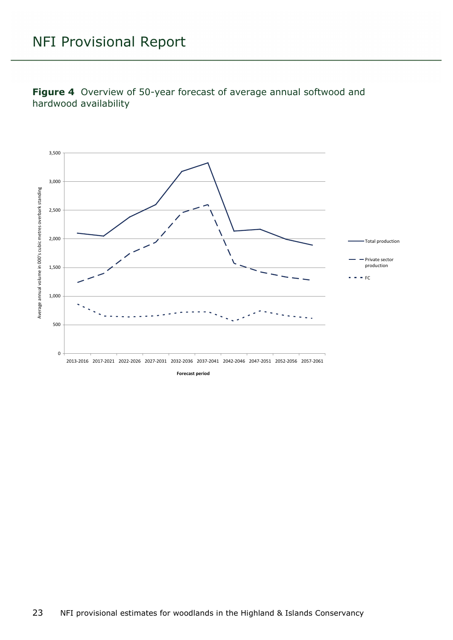<span id="page-22-0"></span>**Figure 4** Overview of 50-year forecast of average annual softwood and hardwood availability

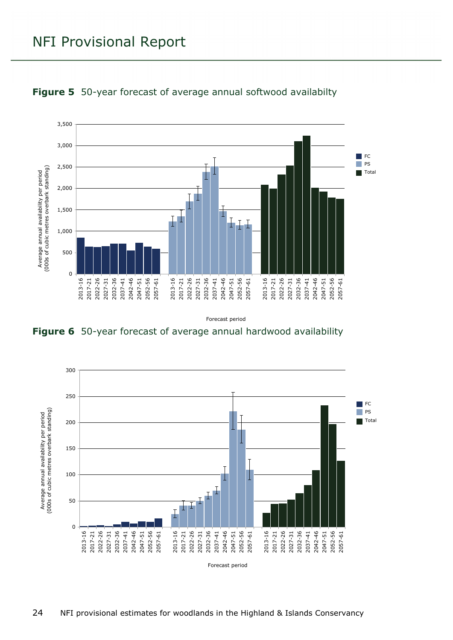

#### <span id="page-23-0"></span>**Figure 5** 50-year forecast of average annual softwood availabilty

Forecast period

<span id="page-23-1"></span>

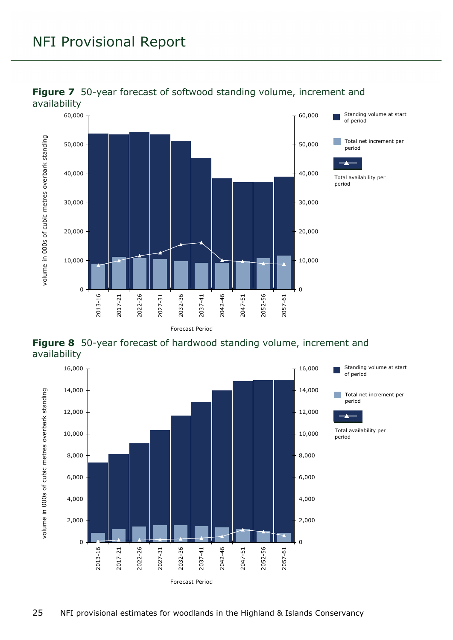

#### <span id="page-24-0"></span>**Figure 7** 50-year forecast of softwood standing volume, increment and

<span id="page-24-1"></span>

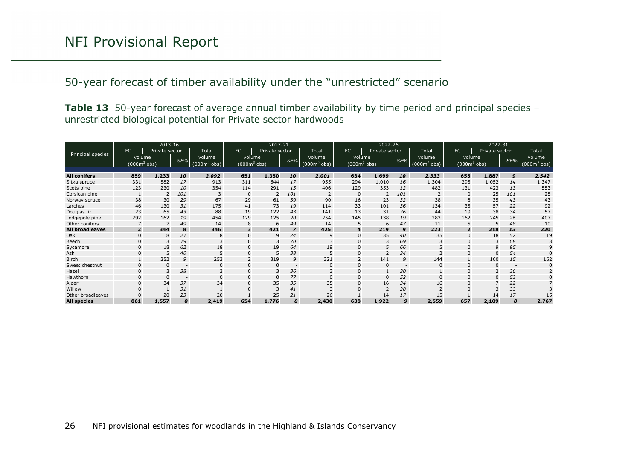50-year forecast of timber availability under the "unrestricted" scenario

**Table 13** 50-year forecast of average annual timber availability by time period and principal species – unrestricted biological potential for Private sector hardwoods

<span id="page-25-0"></span>

| 2013-16                |                |                |                          | 2017-21      |              |                |                          | 2022-26      |              |                |                          | 2027-31        |                |                |     |                |
|------------------------|----------------|----------------|--------------------------|--------------|--------------|----------------|--------------------------|--------------|--------------|----------------|--------------------------|----------------|----------------|----------------|-----|----------------|
|                        | FC             | Private sector |                          | Total        | FC           | Private sector |                          | Total        | FC.          | Private sector |                          | Total          | <b>FC</b>      | Private sector |     | Total          |
| Principal species      | volume         |                | SE%                      | volume       | volume       |                | SE%                      | volume       | volume       |                | SE%                      | volume         |                | volume         | SE% | volume         |
|                        | $(0003$ obs)   |                |                          | $(0003$ obs) | $(0003$ obs) |                |                          | $(0003$ obs) | $(0003$ obs) |                |                          | $(000m^3$ obs) | $(0003$ obs)   |                |     | $(000m^3$ obs) |
|                        |                |                |                          |              |              |                |                          |              |              |                |                          |                |                |                |     |                |
| <b>All conifers</b>    | 859            | 1,233          | 10                       | 2,092        | 651          | 1,350          | 10                       | 2,001        | 634          | 1,699          | 10                       | 2,333          | 655            | 1,887          | 9   | 2,542          |
| Sitka spruce           | 331            | 582            | 17                       | 913          | 311          | 644            | 17                       | 955          | 294          | 1,010          | 16                       | 1,304          | 295            | 1,052          | 14  | 1,347          |
| Scots pine             | 123            | 230            | 10                       | 354          | 114          | 291            | 15                       | 406          | 129          | 353            | 12                       | 482            | 131            | 423            | 13  | 553            |
| Corsican pine          |                |                | 101                      |              | $\mathbf 0$  |                | 101                      |              | $\Omega$     |                | 101                      |                |                | 25             | 101 | 25             |
| Norway spruce          | 38             | 30             | 29                       | 67           | 29           | 61             | 59                       | 90           | 16           | 23             | 32                       | 38             | $\mathcal{R}$  | 35             | 43  | 43             |
| Larches                | 46             | 130            | 31                       | 175          | 41           | 73             | 19                       | 114          | 33           | 101            | 36                       | 134            | 35             | 57             | 22  | 92             |
| Douglas fir            | 23             | 65             | 43                       | 88           | 19           | 122            | 43                       | 141          | 13           | 31             | 26                       | 44             | 19             | 38             | 34  | 57             |
| Lodgepole pine         | 292            | 162            | 19                       | 454          | 129          | 125            | 20                       | 254          | 145          | 138            | 19                       | 283            | 162            | 245            | 26  | 407            |
| Other conifers         |                |                | 49                       | 14           | 8            | 6              | 49                       | 14           |              | 6              | 47                       | 11             |                |                | 48  | 10             |
| <b>All broadleaves</b> | $\overline{2}$ | 344            | 8                        | 346          | 3            | 421            | $\overline{z}$           | 425          | 4            | 219            | 9                        | 223            | $\overline{2}$ | 218            | 13  | 220            |
| Oak                    | $\Omega$       |                | 27                       |              | $\mathbf 0$  | 9              | 24                       | 9            |              | 35             | 40                       | 35             |                | 18             | 52  | 19             |
| Beech                  |                |                | 79                       |              | $\mathbf 0$  | 3              | 70                       |              |              | 3              | 69                       |                |                |                | 68  |                |
| Sycamore               | $\Omega$       | 18             | 62                       | 18           | $\Omega$     | 19             | 64                       | 19           | $\Omega$     | 5              | 66                       |                |                | 9              | 95  |                |
| Ash                    | 0              | .5             | 40                       |              | $\mathbf{0}$ | .5             | 38                       | 5            |              |                | 34                       |                |                | 0              | 54  |                |
| <b>Birch</b>           |                | 252            | 9                        | 253          |              | 319            | 9                        | 321          |              | 141            | 9                        | 144            |                | 160            | 15  | 162            |
| Sweet chestnut         | $\Omega$       |                | $\overline{\phantom{a}}$ |              | $\Omega$     | $\mathbf 0$    | $\overline{\phantom{a}}$ | $\Omega$     |              | $\Omega$       | $\overline{\phantom{a}}$ |                |                |                |     |                |
| Hazel                  | $\Omega$       | $\mathbf{3}$   | 38                       |              | $\Omega$     | 3              | 36                       |              |              |                | 30                       |                |                |                | 36  |                |
| Hawthorn               |                |                | $\overline{\phantom{a}}$ |              | $\mathbf{0}$ | $\Omega$       | 77                       | $\Omega$     |              | $\Omega$       | 52                       | $\Omega$       |                |                | 53  |                |
| Alder                  |                | 34             | 37                       | 34           | $\Omega$     | 35             | 35                       | 35           |              | 16             | 34                       | 16             |                |                | 22  |                |
| Willow                 |                |                | 31                       |              |              | 3              | 41                       |              |              | $\overline{2}$ | 28                       |                |                |                | 33  |                |
| Other broadleaves      |                | 20             | 23                       | 20           |              | 25             | 21                       | 26           |              | 14             | 17                       | 15             |                | 14             | 17  | 15             |
| <b>All species</b>     | 861            | 1,557          | 8                        | 2,419        | 654          | 1,776          | 8                        | 2,430        | 638          | 1,922          | 9                        | 2,559          | 657            | 2,109          | 8   | 2,767          |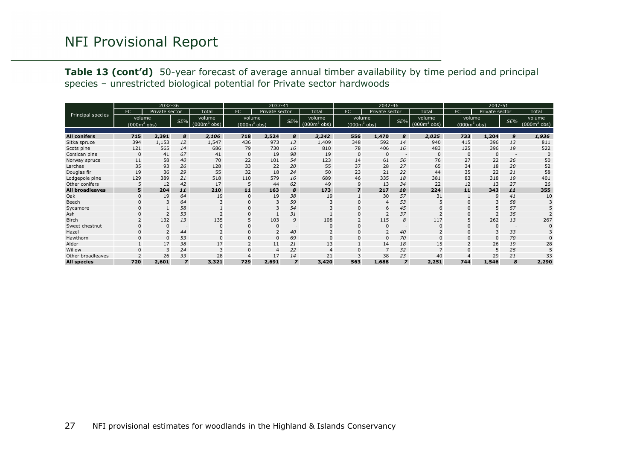**Table 13 (cont'd)** 50-year forecast of average annual timber availability by time period and principal species – unrestricted biological potential for Private sector hardwoods

<span id="page-26-0"></span>

| 2032-36                |              |                |                          |              |                | 2037-41        |                |                | 2042-46         |                |                |              |              |                |                          |              |
|------------------------|--------------|----------------|--------------------------|--------------|----------------|----------------|----------------|----------------|-----------------|----------------|----------------|--------------|--------------|----------------|--------------------------|--------------|
|                        | FC           | Private sector |                          | Total        | <b>FC</b>      | Private sector |                | Total          | FC              | Private sector |                | Total        | FC.          | Private sector |                          | Total        |
| Principal species      | volume       |                | SE%                      | volume       | volume         |                | SE%            | volume         | volume          |                | SE%            | volume.      | volume       |                | $SE\%$                   | volume       |
|                        | $(0003$ obs) |                |                          | $(0003$ obs) | $(000m^3$ obs) |                |                | $(0003$ obs)   | (000 $m^3$ obs) |                |                | $(0003$ obs) | $(0003$ obs) |                |                          | $(0003$ obs) |
|                        |              |                |                          |              |                |                |                |                |                 |                |                |              |              |                |                          |              |
| <b>All conifers</b>    | 715          | 2,391          | 8                        | 3,106        | 718            | 2,524          | 8              | 3,242          | 556             | 1,470          | 8              | 2,025        | 733          | 1,204          | 9                        | 1,936        |
| Sitka spruce           | 394          | 1,153          | 12                       | 1,547        | 436            | 973            | 13             | 1,409          | 348             | 592            | 14             | 940          | 415          | 396            | 13                       | 811          |
| Scots pine             | 121          | 565            | 14                       | 686          | 79             | 730            | 16             | 810            | 78              | 406            | 16             | 483          | 125          | 396            | 19                       | 522          |
| Corsican pine          | $\Omega$     | 41             | 67                       | 41           | $\mathbf{0}$   | 19             | 98             | 19             |                 | $\Omega$       |                | $\Omega$     | $\Omega$     |                | $\overline{\phantom{a}}$ |              |
| Norway spruce          | 11           | 58             | 40                       | 70           | 22             | 101            | 54             | 123            | 14              | 61             | 56             | 76           | 27           | 22             | 26                       | 50           |
| Larches                | 35           | 93             | 26                       | 128          | 33             | 22             | 20             | 55             | 37              | 28             | 27             | 65           | 34           | 18             | 20                       | 52           |
| Douglas fir            | 19           | 36             | 29                       | 55           | 32             | 18             | 24             | 50             | 23              | 21             | 22             | 44           | 35           | 22             | 21                       | 58           |
| Lodgepole pine         | 129          | 389            | 21                       | 518          | 110            | 579            | 16             | 689            | 46              | 335            | 18             | 381          | 83           | 318            | 19                       | 401          |
| Other conifers         |              | 12             | 42                       | 17           | 5              | 44             | 62             | 49             | 9               | 13             | 34             | 22           | 12           | 13             | 27                       | 26           |
| <b>All broadleaves</b> | 5            | 204            | 11                       | 210          | 11             | 163            | 8              | 173            |                 | 217            | 10             | 224          | 11           | 343            | 11                       | 355          |
| Oak                    |              | 19             | 64                       | 19           | $\Omega$       | 19             | 38             | 19             |                 | 30             | 57             | 31           |              |                | 41                       | 10           |
| Beech                  |              | 3              | 64                       |              | $\Omega$       | 3              | 59             |                |                 | $\overline{4}$ | 53             |              | $\Omega$     |                | 58                       |              |
| Sycamore               |              |                | 58                       |              | $\Omega$       | 3              | 54             |                |                 | 6              | 45             |              |              |                | 57                       |              |
| Ash                    |              |                | 53                       |              | $\Omega$       |                | 31             |                |                 |                | 37             |              | $\Omega$     |                | 35                       |              |
| <b>Birch</b>           |              | 132            | 13                       | 135          | 5              | 103            | 9              | 108            |                 | 115            | 8              | 117          |              | 262            | 13                       | 267          |
| Sweet chestnut         |              | $\Omega$       | $\overline{\phantom{a}}$ |              | $\Omega$       | $\mathbf 0$    |                | $\Omega$       |                 | $\Omega$       | $\overline{a}$ |              | $\Omega$     |                | $\overline{\phantom{a}}$ |              |
| Hazel                  |              |                | 44                       |              | $\Omega$       | $\overline{2}$ | 40             |                |                 | $\overline{2}$ | 40             |              |              |                | 33                       |              |
| Hawthorn               |              | $\Omega$       | 53                       |              | $\Omega$       | $\mathbf{0}$   | 69             | $\Omega$       |                 | $\Omega$       | 70             |              | $\Omega$     |                | 70                       |              |
| Alder                  |              | 17             | 38                       | 17           |                | 11             | 21             | 13             |                 | 14             | 18             | 15           |              | 26             | 19                       | 28           |
| Willow                 |              | 3              | 24                       |              |                | $\overline{4}$ | 22             | $\overline{4}$ |                 | $\overline{7}$ | 32             |              | $\Omega$     | 5              | 25                       |              |
| Other broadleaves      |              | 26             | 33                       | 28           |                | 17             | 14             | 21             |                 | 38             | 23             | 40           |              | 29             | 21                       | 33           |
| <b>All species</b>     | 720          | 2,601          | $\overline{z}$           | 3,321        | 729            | 2,691          | $\overline{z}$ | 3,420          | 563             | 1,688          | $\overline{z}$ | 2,251        | 744          | 1,546          | 8                        | 2,290        |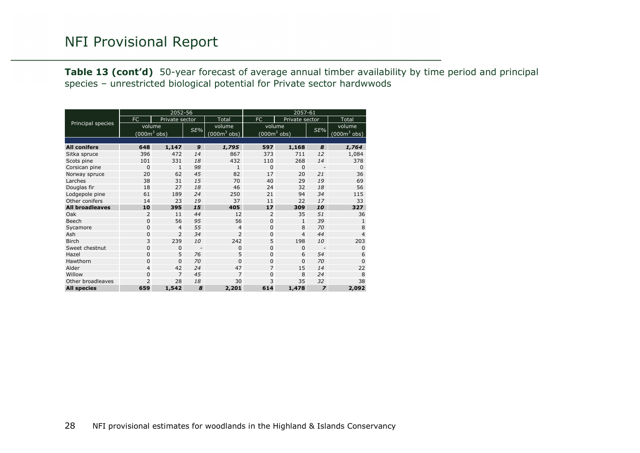**Table 13 (cont'd)** 50-year forecast of average annual timber availability by time period and principal species – unrestricted biological potential for Private sector hardwwods

<span id="page-27-0"></span>

|                        |                | 2052-56        |     |                                | 2057-61                        |                |                          |                |  |  |  |
|------------------------|----------------|----------------|-----|--------------------------------|--------------------------------|----------------|--------------------------|----------------|--|--|--|
|                        | FC             | Private sector |     | Total                          | FC                             | Private sector |                          | Total          |  |  |  |
| Principal species      | volume         |                | SE% | volume                         | volume                         |                | SE%                      | volume         |  |  |  |
|                        | $(000m^3$ obs) |                |     | $(000 \text{m}^3 \text{ obs})$ | $(000 \text{m}^3 \text{ obs})$ |                |                          | $(000m^3$ obs) |  |  |  |
|                        |                |                |     |                                |                                |                |                          |                |  |  |  |
| <b>All conifers</b>    | 648            | 1,147          | 9   | 1,795                          | 597                            | 1,168          | 8                        | 1,764          |  |  |  |
| Sitka spruce           | 396            | 472            | 14  | 867                            | 373                            | 711            | 12                       | 1,084          |  |  |  |
| Scots pine             | 101            | 331            | 18  | 432                            | 110                            | 268            | 14                       | 378            |  |  |  |
| Corsican pine          | $\mathbf{0}$   | $\mathbf{1}$   | 98  | $\mathbf{1}$                   | $\Omega$                       | $\Omega$       | $\overline{\phantom{a}}$ | $\Omega$       |  |  |  |
| Norway spruce          | 20             | 62             | 45  | 82                             | 17                             | 20             | 21                       | 36             |  |  |  |
| Larches                | 38             | 31             | 15  | 70                             | 40                             | 29             | 19                       | 69             |  |  |  |
| Douglas fir            | 18             | 27             | 18  | 46                             | 24                             | 32             | 18                       | 56             |  |  |  |
| Lodgepole pine         | 61             | 189            | 24  | 250                            | 21                             | 94             | 34                       | 115            |  |  |  |
| Other conifers         | 14             | 23             | 19  | 37                             | 11                             | 22             | 17                       | 33             |  |  |  |
| <b>All broadleaves</b> | 10             | 395            | 15  | 405                            | 17                             | 309            | 10                       | 327            |  |  |  |
| Oak                    | 2              | 11             | 44  | 12                             | $\overline{2}$                 | 35             | 51                       | 36             |  |  |  |
| Beech                  | $\mathbf 0$    | 56             | 95  | 56                             | $\Omega$                       | $\mathbf{1}$   | 39                       | $\mathbf{1}$   |  |  |  |
| Sycamore               | $\mathbf 0$    | $\overline{4}$ | 55  | 4                              | $\Omega$                       | 8              | 70                       | 8              |  |  |  |
| Ash                    | 0              | $\overline{2}$ | 34  | $\overline{2}$                 | $\Omega$                       | $\overline{4}$ | 44                       | $\overline{4}$ |  |  |  |
| <b>Birch</b>           | 3              | 239            | 10  | 242                            | 5                              | 198            | 10                       | 203            |  |  |  |
| Sweet chestnut         | 0              | $\mathbf{0}$   |     | 0                              | $\Omega$                       | $\mathbf{0}$   |                          | 0              |  |  |  |
| Hazel                  | $\mathbf 0$    | 5              | 76  | 5                              | $\mathbf{0}$                   | 6              | 54                       | 6              |  |  |  |
| Hawthorn               | $\mathbf 0$    | $\mathbf 0$    | 70  | 0                              | $\Omega$                       | $\Omega$       | 70                       | $\Omega$       |  |  |  |
| Alder                  | $\overline{4}$ | 42             | 24  | 47                             | 7                              | 15             | 14                       | 22             |  |  |  |
| Willow                 | $\mathbf 0$    | $\overline{7}$ | 45  | $\overline{7}$                 | $\Omega$                       | 8              | 24                       | 8              |  |  |  |
| Other broadleaves      | $\overline{2}$ | 28             | 18  | 30                             | 3                              | 35             | 32                       | 38             |  |  |  |
| <b>All species</b>     | 659            | 1,542          | 8   | 2,201                          | 614                            | 1,478          | $\overline{z}$           | 2,092          |  |  |  |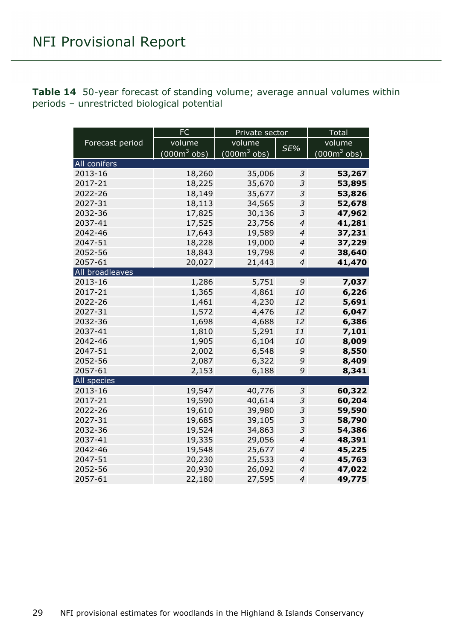<span id="page-28-0"></span>

| <b>Table 14</b> 50-year forecast of standing volume; average annual volumes within |  |
|------------------------------------------------------------------------------------|--|
| periods - unrestricted biological potential                                        |  |

|                 | FC             | Private sector         |                          | <b>Total</b>  |  |  |
|-----------------|----------------|------------------------|--------------------------|---------------|--|--|
| Forecast period | volume         | volume                 |                          | volume        |  |  |
|                 | $(000m^3$ obs) | $(000m^3 \text{ obs})$ | SE%                      | $(000m3$ obs) |  |  |
| All conifers    |                |                        |                          |               |  |  |
| 2013-16         | 18,260         | 35,006                 | $\mathfrak{Z}$           | 53,267        |  |  |
| 2017-21         | 18,225         | 35,670                 | $\mathfrak{Z}$           | 53,895        |  |  |
| 2022-26         | 18,149         | 35,677                 | 3                        | 53,826        |  |  |
| 2027-31         | 18,113         | 34,565                 | 3                        | 52,678        |  |  |
| 2032-36         | 17,825         | 30,136                 | 3                        | 47,962        |  |  |
| 2037-41         | 17,525         | 23,756                 | $\overline{4}$           | 41,281        |  |  |
| 2042-46         | 17,643         | 19,589                 | $\overline{\mathcal{A}}$ | 37,231        |  |  |
| 2047-51         | 18,228         | 19,000                 | $\overline{\mathcal{A}}$ | 37,229        |  |  |
| 2052-56         | 18,843         | 19,798                 | $\overline{4}$           | 38,640        |  |  |
| 2057-61         | 20,027         | 21,443                 | $\overline{4}$           | 41,470        |  |  |
| All broadleaves |                |                        |                          |               |  |  |
| 2013-16         | 1,286          | 5,751                  | 9                        | 7,037         |  |  |
| 2017-21         | 1,365          | 4,861                  | 10                       | 6,226         |  |  |
| 2022-26         | 1,461          | 4,230                  | 12                       | 5,691         |  |  |
| 2027-31         | 1,572          | 4,476                  | 12                       | 6,047         |  |  |
| 2032-36         | 1,698          | 4,688                  | 12                       | 6,386         |  |  |
| 2037-41         | 1,810          | 5,291                  | 11                       | 7,101         |  |  |
| 2042-46         | 1,905          | 6,104                  | 10                       | 8,009         |  |  |
| 2047-51         | 2,002          | 6,548                  | 9                        | 8,550         |  |  |
| 2052-56         | 2,087          | 6,322                  | 9                        | 8,409         |  |  |
| 2057-61         | 2,153          | 6,188                  | 9                        | 8,341         |  |  |
| All species     |                |                        |                          |               |  |  |
| 2013-16         | 19,547         | 40,776                 | 3                        | 60,322        |  |  |
| 2017-21         | 19,590         | 40,614                 | 3                        | 60,204        |  |  |
| 2022-26         | 19,610         | 39,980                 | $\mathfrak{Z}$           | 59,590        |  |  |
| 2027-31         | 19,685         | 39,105                 | 3                        | 58,790        |  |  |
| 2032-36         | 19,524         | 34,863                 | 3                        | 54,386        |  |  |
| 2037-41         | 19,335         | 29,056                 | $\overline{\mathcal{A}}$ | 48,391        |  |  |
| 2042-46         | 19,548         | 25,677                 | $\overline{\mathcal{A}}$ | 45,225        |  |  |
| 2047-51         | 20,230         | 25,533                 | $\overline{\mathcal{A}}$ | 45,763        |  |  |
| 2052-56         | 20,930         | 26,092                 | $\overline{\mathcal{A}}$ | 47,022        |  |  |
| 2057-61         | 22,180         | 27,595                 | $\overline{4}$           | 49,775        |  |  |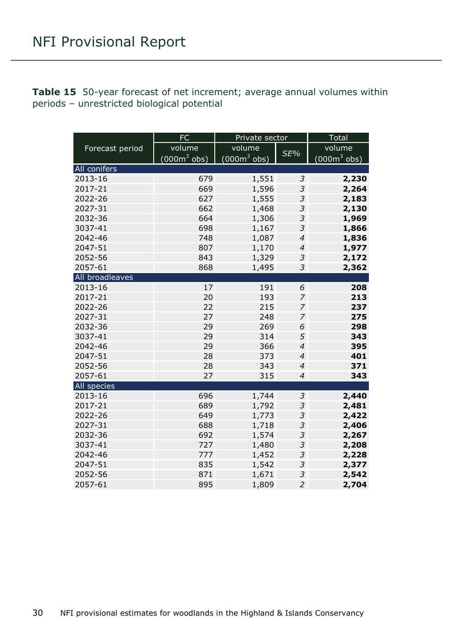<span id="page-29-0"></span>**Table 15** 50-year forecast of net increment; average annual volumes within periods – unrestricted biological potential

|                 | <b>FC</b>      | Private sector                 |                | <b>Total</b>   |
|-----------------|----------------|--------------------------------|----------------|----------------|
| Forecast period | volume         | volume                         |                | volume         |
|                 | $(000m^3$ obs) | $(000 \text{m}^3 \text{ obs})$ | SE%            | $(000m^3$ obs) |
| All conifers    |                |                                |                |                |
| 2013-16         | 679            | 1,551                          | 3              | 2,230          |
| 2017-21         | 669            | 1,596                          | 3              | 2,264          |
| 2022-26         | 627            | 1,555                          | 3              | 2,183          |
| 2027-31         | 662            | 1,468                          | $\mathfrak z$  | 2,130          |
| 2032-36         | 664            | 1,306                          | $\mathfrak{Z}$ | 1,969          |
| 3037-41         | 698            | 1,167                          | 3              | 1,866          |
| 2042-46         | 748            | 1,087                          | $\overline{4}$ | 1,836          |
| 2047-51         | 807            | 1,170                          | $\overline{4}$ | 1,977          |
| 2052-56         | 843            | 1,329                          | $\mathfrak{Z}$ | 2,172          |
| 2057-61         | 868            | 1,495                          | 3              | 2,362          |
| All broadleaves |                |                                |                |                |
| 2013-16         | 17             | 191                            | 6              | 208            |
| 2017-21         | 20             | 193                            | $\overline{z}$ | 213            |
| 2022-26         | 22             | 215                            | 7              | 237            |
| 2027-31         | 27             | 248                            | $\overline{z}$ | 275            |
| 2032-36         | 29             | 269                            | 6              | 298            |
| 3037-41         | 29             | 314                            | 5              | 343            |
| 2042-46         | 29             | 366                            | $\overline{4}$ | 395            |
| 2047-51         | 28             | 373                            | $\overline{4}$ | 401            |
| 2052-56         | 28             | 343                            | $\overline{4}$ | 371            |
| 2057-61         | 27             | 315                            | $\overline{4}$ | 343            |
| All species     |                |                                |                |                |
| 2013-16         | 696            | 1,744                          | $\mathfrak{Z}$ | 2,440          |
| 2017-21         | 689            | 1,792                          | $\mathfrak z$  | 2,481          |
| 2022-26         | 649            | 1,773                          | 3              | 2,422          |
| 2027-31         | 688            | 1,718                          | 3              | 2,406          |
| 2032-36         | 692            | 1,574                          | 3              | 2,267          |
| 3037-41         | 727            | 1,480                          | 3              | 2,208          |
| 2042-46         | 777            | 1,452                          | 3              | 2,228          |
| 2047-51         | 835            | 1,542                          | 3              | 2,377          |
| 2052-56         | 871            | 1,671                          | 3              | 2,542          |
| 2057-61         | 895            | 1,809                          | $\overline{2}$ | 2,704          |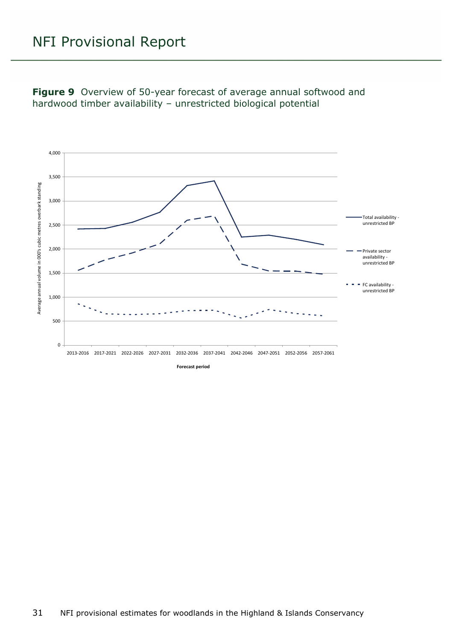<span id="page-30-0"></span>**Figure 9** Overview of 50-year forecast of average annual softwood and hardwood timber availability – unrestricted biological potential

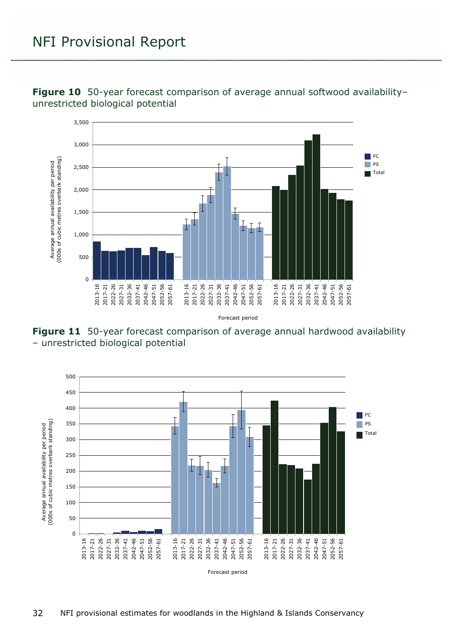

<span id="page-31-0"></span>**Figure 10** 50-year forecast comparison of average annual softwood availability– unrestricted biological potential

<span id="page-31-1"></span>

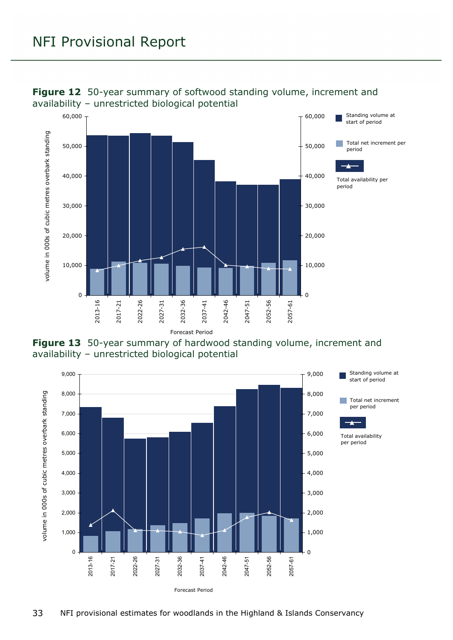

#### <span id="page-32-0"></span>**Figure 12** 50-year summary of softwood standing volume, increment and availability – unrestricted biological potential

<span id="page-32-1"></span>

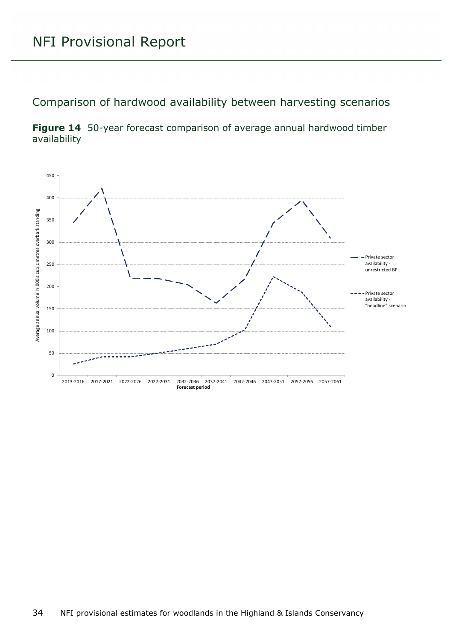Comparison of hardwood availability between harvesting scenarios

<span id="page-33-0"></span>